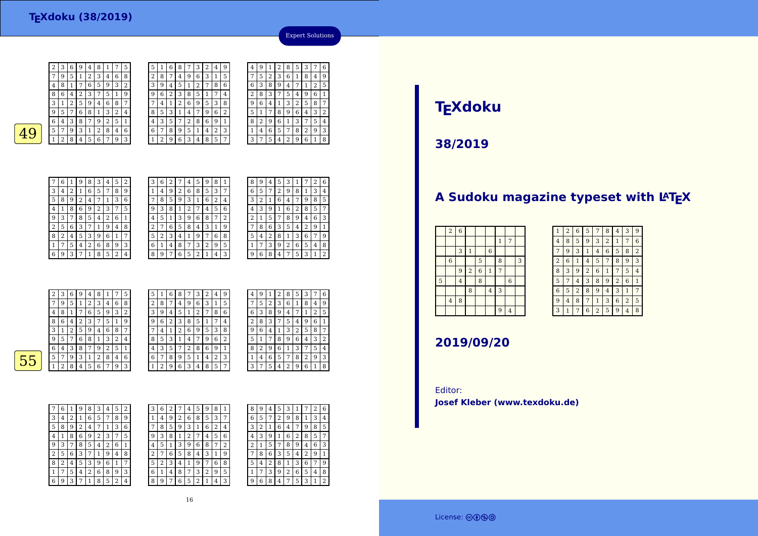

| 5 |   | 6 | 8              |   | 3 | 2 | 4 | 9 |  |
|---|---|---|----------------|---|---|---|---|---|--|
| 2 | 8 | 7 | 4              | 9 | 6 | 3 | 1 | 5 |  |
| 3 | 9 | 4 | 5              | 1 | 2 | 7 | 8 | 6 |  |
| 9 | 6 | 2 | 3              | 8 | 5 | 1 | 7 | 4 |  |
|   | 4 | 1 | $\overline{2}$ | 6 | 9 | 5 | 3 | 8 |  |
| 8 | 5 | 3 | 1              | 4 | 7 | 9 | 6 | 2 |  |
| 4 | 3 | 5 | 7              | 2 | 8 | 6 | 9 | 1 |  |
| 6 | 7 | 8 | 9              | 5 | 1 | 4 | 2 | 3 |  |
|   | 2 | 9 | 6              | 3 | 4 | 8 | 5 |   |  |

4

7

6

2

9 $\frac{9}{1}$  6 4

5 $rac{5}{1}$ 

8

6 3 8 9 4



| 7 | 6 | 1 | 9                       | 8 | 3 | 4 | 5              | $\overline{2}$ |
|---|---|---|-------------------------|---|---|---|----------------|----------------|
| 3 | 4 | 2 | 1                       | 6 | 5 | 7 | 8              | 9              |
| 5 | 8 | 9 | $\overline{\mathbf{c}}$ | 4 | 7 | 1 | 3              | 6              |
| 4 | 1 | 8 | 6                       | 9 | 2 | 3 | 7              | 5              |
| 9 | 3 |   | 8                       | 5 | 4 | 2 | 6              | 1              |
| 2 | 5 | 6 | 3                       | 7 | 1 | 9 | 4              | 8              |
| 8 | 2 | 4 | 5                       | 3 | 9 | 6 | 1              | 7              |
| 1 | 7 | 5 | 4                       | 2 | 6 | 8 | 9              | 3              |
| 6 | 9 | 3 | 7                       | 1 | 8 | 5 | $\overline{2}$ | 4              |

| 6<br>5<br>3<br>1<br>8<br>2<br>9<br>4<br>7<br>3<br>7<br>6<br>2<br>8<br>5<br>9<br>1<br>4<br>9<br>2<br>6<br>3<br>5<br>8<br>4<br>1 |
|--------------------------------------------------------------------------------------------------------------------------------|
|                                                                                                                                |
|                                                                                                                                |
|                                                                                                                                |
| 9<br>2<br>4<br>5<br>8<br>3<br>6<br>1<br>7                                                                                      |
| $\overline{2}$<br>6<br>8<br>3<br>9<br>7<br>5<br>1<br>4                                                                         |
| 5<br>3<br>8<br>6<br>2<br>9<br>1<br>7<br>4                                                                                      |
| 6<br>2<br>3<br>9<br>5<br>8<br>7<br>4<br>1                                                                                      |
| 8<br>2<br>5<br>3<br>9<br>6<br>7<br>1<br>4                                                                                      |

| 8 | 9 | 4 | 5 | З | 1 |   | 2 | 6 |
|---|---|---|---|---|---|---|---|---|
| 6 | 5 | 7 | 2 | 9 | 8 | 1 | 3 | 4 |
| 3 | 2 | 1 | 6 | 4 | 7 | 9 | 8 | 5 |
| 4 | 3 | 9 | 1 | 6 | 2 | 8 | 5 | 7 |
| 2 | 1 | 5 | 7 | 8 | 9 | 4 | 6 | 3 |
|   | 8 | 6 | 3 | 5 | 4 | 2 | 9 | 1 |
| 5 | 4 | 2 | 8 | 1 | 3 | 6 | 7 | 9 |
| 1 | 7 | 3 | 9 | 2 | 6 | 5 | 4 | 8 |
| 9 | 6 | 8 | 4 | 7 | 5 | 3 | 1 | 2 |

Expert Solutions

<sup>7</sup> <sup>1</sup> <sup>2</sup> <sup>5</sup>

<sup>9</sup> <sup>1</sup> <sup>2</sup> <sup>8</sup> <sup>5</sup> <sup>3</sup> <sup>7</sup> <sup>6</sup>

<sup>5</sup> <sup>2</sup> <sup>3</sup> <sup>6</sup> <sup>1</sup> <sup>8</sup> <sup>4</sup> <sup>9</sup>

<sup>8</sup> <sup>3</sup> <sup>7</sup> <sup>5</sup> <sup>4</sup> <sup>9</sup> <sup>6</sup> <sup>1</sup>

 <sup>2</sup> <sup>9</sup> <sup>6</sup> <sup>1</sup> <sup>3</sup> <sup>7</sup> <sup>5</sup> <sup>4</sup> 1 <sup>4</sup> <sup>6</sup> <sup>5</sup> <sup>7</sup> <sup>8</sup> <sup>2</sup> <sup>9</sup> <sup>3</sup>  $3 \mid 7 \mid 5 \mid 4 \mid 2 \mid 9 \mid 6 \mid 1 \mid 8$ 

<sup>1</sup> <sup>3</sup> <sup>2</sup> <sup>5</sup> <sup>8</sup> <sup>7</sup>

<sup>7</sup> <sup>8</sup> <sup>9</sup> <sup>6</sup> <sup>4</sup> <sup>3</sup> <sup>2</sup>

|   | 2 | 3 | 6 | 9      | 4 | 8 |   |   | 5 | 5      | 1              | 6 | 8 | 7 | 3 | 2              | 4 | 9 |
|---|---|---|---|--------|---|---|---|---|---|--------|----------------|---|---|---|---|----------------|---|---|
|   |   | 9 | 5 |        | 2 | 3 | 4 | 6 | 8 | ∍<br>∠ | 8              | 7 | 4 | 9 | 6 | 3              | 1 | 5 |
|   | 4 | 8 | 1 |        | 6 | 5 | 9 | 3 | 2 | 3      | 9              | 4 | 5 | 1 | 2 | 7              | 8 | 6 |
|   | 8 | 6 | 4 | າ<br>∠ | 3 | 7 | 5 | 1 | 9 | 9      | 6              | 2 | 3 | 8 | 5 |                |   | 4 |
|   | 3 |   | 2 | 5      | 9 | 4 | 6 | 8 | 7 | 7      | $\overline{4}$ | 1 | 2 | 6 | 9 | 5              | 3 | 8 |
|   | 9 | 5 | 7 | 6      | 8 |   | 3 | 2 | 4 | 8      | 5              | 3 |   | 4 | 7 | 9              | 6 | 2 |
|   | 6 | 4 | 3 | 8      | 7 | 9 | 2 | 5 | 1 | 4      | 3              | 5 | 7 | 2 | 8 | 6              | 9 |   |
| 5 | 5 | 7 | 9 | 3      |   | 2 | 8 | 4 | 6 | 6      | 7              | 8 | 9 | 5 | 1 | $\overline{4}$ | 2 | 3 |
|   |   | ∍ | 8 | 4      | 5 | 6 | ⇁ | 9 | 3 |        | 2              | 9 | 6 | 3 | 4 | 8              | 5 | 7 |
|   |   |   |   |        |   |   |   |   |   |        |                |   |   |   |   |                |   |   |

| 4 | 9 | 1 | $\overline{2}$ | 8              | 5 | 3 | 7 | 6 |
|---|---|---|----------------|----------------|---|---|---|---|
| 7 | 5 | 2 | 3              | 6              | 1 | 8 | 4 | 9 |
| 6 | 3 | 8 | 9              | 4              | 7 | 1 | 2 | 5 |
| 2 | 8 | 3 |                | 5              | 4 | 9 | 6 | 1 |
| 9 | 6 | 4 | 1              | 3              | 2 | 5 | 8 | 7 |
| 5 | 1 | 7 | 8              | 9              | 6 | 4 | 3 | 2 |
| 8 | 2 | 9 | 6              | 1              | 3 | 7 | 5 | 4 |
| 1 | 4 | 6 | 5              | 7              | 8 | 2 | 9 | 3 |
| 3 | 7 | 5 | 4              | $\overline{2}$ | 9 | 6 | 1 | 8 |

 $\overline{55}$ 

|                         | 6 | 1              | 9 | 8 | 3 | 4              | 5 | 2 |
|-------------------------|---|----------------|---|---|---|----------------|---|---|
| 3                       | 4 | $\overline{2}$ | 1 | 6 | 5 | 7              | 8 | 9 |
| 5                       | 8 | 9              | 2 | 4 | 7 | 1              | 3 | 6 |
| 4                       | 1 | 8              | 6 | 9 | 2 | 3              | 7 | 5 |
| 9                       | 3 | 7              | 8 | 5 | 4 | $\overline{2}$ | 6 | 1 |
| $\overline{\mathbf{c}}$ | 5 | 6              | 3 | 7 | 1 | 9              | 4 | 8 |
| 8                       | 2 | 4              | 5 | 3 | 9 | 6              | 1 | 7 |
| 1                       | 7 | 5              | 4 | 2 | 6 | 8              | 9 | 3 |
| 6                       | 9 | 3              | 7 | 1 | 8 | 5              | 2 | 4 |

| 3 | 6 | 2 |   | 4 | 5      | 9 | 8 |   | 8      | 9 | 4      | 5 | 3              |   |   | 2 | 6              |
|---|---|---|---|---|--------|---|---|---|--------|---|--------|---|----------------|---|---|---|----------------|
| 1 | 4 | 9 | 2 | 6 | 8      | 5 | 3 | 7 | 6      | 5 |        | ר | 9              | 8 | 1 | 3 | 4              |
| 7 | 8 | 5 | 9 | 3 | 1      | 6 | 2 | 4 | 3      | n | 1      | 6 | 4              | 7 | 9 | 8 | 5              |
| 9 | 3 | 8 | 1 | 2 | 7      | 4 | 5 | 6 | 4      | 3 | g      |   | 6              | 2 | 8 | 5 | 7              |
| 4 | 5 | 1 | 3 | 9 | 6      | 8 | 7 | 2 | າ<br>4 |   | 5      | 7 | 8              | 9 | 4 | 6 | 3              |
| 2 | 7 | 6 | 5 | 8 | 4      | 3 | 1 | 9 | 7      | 8 | 6      | 3 | 5              | 4 | 2 | 9 | 1              |
| 5 | 2 | 3 | 4 | 1 | 9      |   | 6 | 8 | 5      | 4 | ി<br>∠ | 8 | 1              | 3 | 6 | 7 | 9              |
| 6 | 1 | 4 | 8 | 7 | 3      | 2 | 9 | 5 |        | ⇁ | 3      | 9 | $\overline{2}$ | 6 | 5 | 4 | 8              |
| 8 | 9 | 7 | 6 | 5 | ∍<br>∠ |   | 4 | 3 | 9      | 6 | 8      | 4 | 7              | 5 | 3 | 1 | $\overline{2}$ |

#### 16

# **TEXdoku**

**38/2019**

## A Sudoku magazine typeset with LAT<sub>E</sub>X

| $\sqrt{2}$       | $\boldsymbol{6}$ |                |                |                |                |                |   |
|------------------|------------------|----------------|----------------|----------------|----------------|----------------|---|
|                  |                  |                |                |                | $\mathbf{1}$   | 7              |   |
|                  | 3                | $\overline{1}$ |                | $\,$ 6 $\,$    |                |                |   |
| $\boldsymbol{6}$ |                  |                | 5              |                | 8              |                | 3 |
|                  | 9                | $\overline{2}$ | $\overline{6}$ | $\,1\,$        | $\overline{7}$ |                |   |
|                  | $\overline{4}$   |                | $\overline{8}$ |                |                | 6              |   |
|                  |                  | 8              |                | $\overline{4}$ | 3              |                |   |
| $\overline{4}$   | 8                |                |                |                |                |                |   |
|                  |                  |                |                |                | $\overline{9}$ | $\overline{4}$ |   |
|                  |                  |                |                |                |                |                |   |

| 1              | $\overline{2}$ | 6              | 5              | 7              | 8              | 4              | 3              | 9              |
|----------------|----------------|----------------|----------------|----------------|----------------|----------------|----------------|----------------|
| 4              | 8              | 5              | 9              | 3              | $\overline{2}$ | 1              | 7              | 6              |
| 7              | 9              | 3              | 1              | 4              | 6              | 5              | 8              | $\overline{2}$ |
| $\overline{2}$ | 6              | $\mathbf{1}$   | $\overline{4}$ | 5              | 7              | 8              | 9              | 3              |
| 8              | 3              | 9              | $\overline{2}$ | 6              | $\mathbf{1}$   | 7              | 5              | $\overline{4}$ |
| 5              | 7              | $\overline{4}$ | 3              | 8              | 9              | $\overline{2}$ | 6              | $\mathbf{1}$   |
| 6              | 5              | $\overline{2}$ | 8              | 9              | 4              | 3              | 1              | 7              |
| 9              | $\overline{4}$ | 8              | 7              | $\mathbf{1}$   | 3              | 6              | $\overline{2}$ | 5              |
| 3              | 1              | 7              | 6              | $\overline{2}$ | 5              | 9              | 4              | 8              |

### **2019/09/20**

Editor:**Josef Kleber (www.texdoku.de)**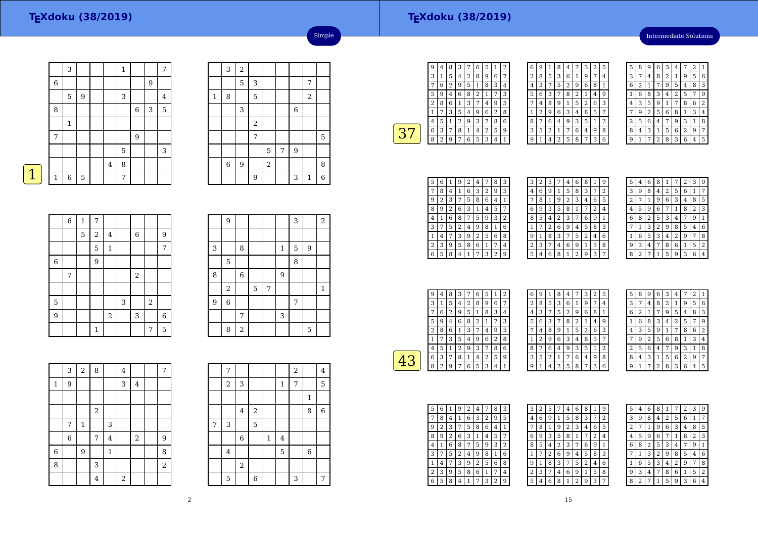#### **TEXdoku (38/2019)**

Intermediate Solutions

|   |                  | 3           |             |         | 1 |                |   | 7 |
|---|------------------|-------------|-------------|---------|---|----------------|---|---|
|   | $\boldsymbol{6}$ |             |             |         |   |                | 9 |   |
|   |                  | 5           | 9           |         | 3 |                |   | 4 |
|   | 8                |             |             |         |   | $\,$ 6 $\,$    | 3 | 5 |
|   |                  | $\mathbf 1$ |             |         |   |                |   |   |
|   | 7                |             |             |         |   | $\overline{9}$ |   |   |
|   |                  |             |             |         | 5 |                |   | 3 |
|   |                  |             |             | $\bf 4$ | 8 |                |   |   |
| 1 | $\mathbf{1}$     | 6           | $\mathbf 5$ |         | 7 |                |   |   |
|   |                  |             |             |         |   |                |   |   |

|              | 3 | $\overline{c}$ |                |            |   |   |                |   |
|--------------|---|----------------|----------------|------------|---|---|----------------|---|
|              |   | 5              | 3              |            |   |   | 7              |   |
| $\mathbf{1}$ | 8 |                | 5              |            |   |   | $\overline{2}$ |   |
|              |   | 3              |                |            |   | 6 |                |   |
|              |   |                | $\,2$          |            |   |   |                |   |
|              |   |                | $\overline{7}$ |            |   |   |                | 5 |
|              |   |                |                | 5          | 7 | 9 |                |   |
|              | 6 | 9              |                | $\sqrt{2}$ |   |   |                | 8 |
|              |   |                | 9              |            |   | 3 | $\mathbf{1}$   | 6 |

Simple

| <b>Contract Contract Contract Contract Contract Contract Contract Contract Contract Contract Contract Contract Co</b> |  |
|-----------------------------------------------------------------------------------------------------------------------|--|
|                                                                                                                       |  |

|                | $\,$ 6 $\,$    | $\mathbf{1}$ | 7              |                |   |                |            |                  |
|----------------|----------------|--------------|----------------|----------------|---|----------------|------------|------------------|
|                |                | 5            | $\sqrt{2}$     | $\overline{4}$ |   | $\,$ 6 $\,$    |            | 9                |
|                |                |              | 5              | $\,1\,$        |   |                |            | 7                |
| $\,$ 6 $\,$    |                |              | $\overline{9}$ |                |   |                |            |                  |
|                | $\overline{7}$ |              |                |                |   | $\overline{a}$ |            |                  |
|                |                |              |                |                |   |                |            |                  |
| $\overline{5}$ |                |              |                |                | 3 |                | $\sqrt{2}$ |                  |
| 9              |                |              |                | $\sqrt{2}$     |   | 3              |            | $\boldsymbol{6}$ |
|                |                |              | $\mathbf{1}$   |                |   |                | 7          | 5                |

|                | 9              |                  |   |   |              | 3 |   | 2            |
|----------------|----------------|------------------|---|---|--------------|---|---|--------------|
|                |                |                  |   |   |              |   |   |              |
| 3              |                | 8                |   |   | $\mathbf{1}$ | 5 | 9 |              |
|                | 5              |                  |   |   |              | 8 |   |              |
| 8              |                | $\boldsymbol{6}$ |   |   | 9            |   |   |              |
|                | $\,2$          |                  | 5 | 7 |              |   |   | $\mathbf{1}$ |
| $\overline{9}$ | $\overline{6}$ |                  |   |   |              | 7 |   |              |
|                |                | 7                |   |   | 3            |   |   |              |
|                | 8              | $\sqrt{2}$       |   |   |              |   | 5 |              |

|                | 3           | $\overline{a}$ | 8                |                         | $\overline{4}$ |                | 7          |
|----------------|-------------|----------------|------------------|-------------------------|----------------|----------------|------------|
| $\mathbf{1}$   | 9           |                |                  |                         | 3              | $\overline{4}$ |            |
|                |             |                |                  |                         |                |                |            |
|                |             |                | $\,2$            |                         |                |                |            |
|                | 7           | $\mathbf 1$    |                  | 3                       |                |                |            |
|                | $\,$ 6 $\,$ |                | $\boldsymbol{7}$ | $\overline{\mathbf{4}}$ |                | $\,2$          | 9          |
| $\overline{6}$ |             | 9              |                  | $\mathbf 1$             |                |                | 8          |
| 8              |             |                | 3                |                         |                |                | $\sqrt{2}$ |
|                |             |                | 4                |                         | $\,2$          |                |            |

|   | 7           |                         |                |             |              | $\overline{\mathbf{c}}$ |              | 4           |
|---|-------------|-------------------------|----------------|-------------|--------------|-------------------------|--------------|-------------|
|   | 2           | 3                       |                |             | $\mathbf{1}$ | 7                       |              | $\mathbf 5$ |
|   |             |                         |                |             |              |                         | $\mathbf{1}$ |             |
|   |             | $\overline{\mathbf{4}}$ | $\overline{a}$ |             |              |                         | 8            | $\,6$       |
| 7 | 3           |                         | 5              |             |              |                         |              |             |
|   |             | $\boldsymbol{6}$        |                | $\mathbf 1$ | $\bf 4$      |                         |              |             |
|   | $\bf 4$     |                         |                |             | 5            |                         | $\,$ 6 $\,$  |             |
|   |             | $\overline{2}$          |                |             |              |                         |              |             |
|   | $\mathbf 5$ |                         | 6              |             |              | 3                       |              | 7           |

| 9 | 4 | 8 | З |   | 6 | Ⴢ | 1 | 2 |
|---|---|---|---|---|---|---|---|---|
| 3 | 1 | 5 | 4 | 2 | 8 | 9 | 6 |   |
|   | 6 | 2 | 9 | 5 | 1 | 8 | 3 | 4 |
| 5 | 9 | 4 | 6 | 8 | 2 | 1 | 7 | 3 |
| 2 | 8 | 6 | 1 | 3 | 7 | 4 | 9 | 5 |
| 1 | 7 | 3 | 5 | 4 | 9 | 6 | 2 | 8 |
| 4 | 5 | 1 | 2 | 9 | 3 |   | 8 | 6 |
| 6 | 3 | 7 | 8 | 1 | 4 | 2 | 5 | 9 |
| 8 | 2 | 9 | 7 | 6 | 5 | 3 | 4 |   |
|   |   |   |   |   |   |   |   |   |

| 6 | 9 | $\mathbf{1}$ | 8              | 4              | 7 | 3 | $\overline{2}$ | 5              |  |
|---|---|--------------|----------------|----------------|---|---|----------------|----------------|--|
| 2 | 8 | 5            | 3              | 6              | 1 | 9 | 7              | 4              |  |
| 4 | 3 | 7            | 5              | $\overline{c}$ | 9 | 6 | 8              | 1              |  |
| 5 | 6 | 3            | 7              | 8              | 2 | 1 | 4              | 9              |  |
| 7 | 4 | 8            | 9              | 1              | 5 | 2 | 6              | 3              |  |
| 1 | 2 | 9            | 6              | 3              | 4 | 8 | 5              | 7              |  |
| 8 | 7 | 6            | 4              | 9              | 3 | 5 | 1              | $\overline{2}$ |  |
| 3 | 5 | 2            | $\mathbf{1}$   | 7              | 6 | 4 | 9              | 8              |  |
| 9 | 1 | 4            | $\overline{2}$ | 5              | 8 | 7 | 3              | 6              |  |

| 5 | 8 | g | 6              | 3 | 4 |   | $\overline{\mathbf{c}}$ |   |
|---|---|---|----------------|---|---|---|-------------------------|---|
| 3 | 7 | 4 | 8              | 2 | 1 | 9 | 5                       | 6 |
| 6 | 2 | 1 | 7              | 9 | 5 | 4 | 8                       | 3 |
|   | 6 | 8 | 3              | 4 | 2 | 5 | 7                       | 9 |
| 4 | 3 | 5 | 9              | 1 | 7 | 8 | 6                       | 2 |
| 7 | 9 | 2 | 5              | 6 | 8 | 1 | 3                       | 4 |
| 2 | 5 | 6 | 4              | 7 | 9 | 3 | 1                       | 8 |
| 8 | 4 | 3 | 1              | 5 | 6 | 2 | 9                       | 7 |
| q | 1 |   | $\overline{2}$ | 8 | 3 | 6 | 4                       | 5 |

| 5 | 6 | 1 | 9 | 2 | 4 |   | 8 | З |
|---|---|---|---|---|---|---|---|---|
|   | 8 | 4 | 1 | 6 | 3 | 2 | 9 | 5 |
| g | 2 | 3 | 7 | 5 | 8 | 6 | 4 | 1 |
| 8 | g | 2 | 6 | 3 | 1 | 4 | 5 |   |
| 4 | 1 | 6 | 8 |   | 5 | 9 | 3 | 2 |
| 3 |   | 5 | 2 | 4 | 9 | 8 | 1 | 6 |
|   | 4 |   | 3 | 9 | 2 | 5 | 6 | 8 |
| 2 | 3 | 9 | 5 | 8 | 6 | 1 | 7 | 4 |
| 6 | 5 | 8 | 4 |   | 7 | 3 | 2 | 9 |

| З | 2 | 5 |                | 4              | 6 | 8 | 1                | g            |
|---|---|---|----------------|----------------|---|---|------------------|--------------|
| 4 | 6 | 9 | 1              | 5              | 8 | 3 | 7                | 2            |
| 7 | 8 | 1 | 9              | $\overline{c}$ | 3 | 4 | 6                | 5            |
| 6 | 9 | 3 | 5              | 8              | 1 | 7 | $\boldsymbol{2}$ | 4            |
| 8 | 5 | 4 | $\overline{c}$ | 3              | 7 | 6 | 9                | $\mathbf{1}$ |
|   | 7 | 2 | 6              | 9              | 4 | 5 | 8                | 3            |
| 9 | 1 | 8 | 3              | 7              | 5 | 2 | 4                | 6            |
| 2 | 3 | 7 | 4              | 6              | 9 | 1 | 5                | 8            |
| 5 | 4 | 6 | 8              | $\mathbf{1}$   | 2 | 9 | 3                | 7            |
|   |   |   |                |                |   |   |                  |              |

33 33 33 33 33

| 5 | 4 | 6 | 8 | 1              |   | 2 | 3              | 9 |
|---|---|---|---|----------------|---|---|----------------|---|
| 3 | 9 | 8 | 4 | $\overline{2}$ | 5 | 6 | 1              | 7 |
| 2 |   | 1 | 9 | 6              | 3 | 4 | 8              | 5 |
| 4 | 5 | 9 | 6 | 7              | 1 | 8 | $\overline{2}$ | 3 |
| 6 | 8 | 2 | 5 | 3              | 4 |   | 9              | 1 |
|   | 1 | 3 | 2 | 9              | 8 | 5 | 4              | 6 |
| 1 | 6 | 5 | 3 | 4              | 2 | 9 | 7              | 8 |
| 9 | 3 | 4 |   | 8              | 6 | 1 | 5              | 2 |
| 8 | 2 | 7 |   | 5              | q | 3 | 6              | 4 |

| g | 4              | 8 | 3 | 7 | 6 | 5 | 1 | 2 |  |
|---|----------------|---|---|---|---|---|---|---|--|
| 3 | 1              | 5 | 4 | 2 | 8 | 9 | 6 |   |  |
|   | 6              | 2 | 9 | 5 | 1 | 8 | 3 | 4 |  |
| 5 | 9              | 4 | 6 | 8 | 2 | 1 | 7 | 3 |  |
| 2 | 8              | 6 | 1 | 3 | 7 | 4 | 9 | 5 |  |
|   | 7              | 3 | 5 | 4 | 9 | 6 | 2 | 8 |  |
| 4 | 5              | 1 | 2 | 9 | 3 |   | 8 | 6 |  |
| 6 | 3              | 7 | 8 | 1 | 4 | 2 | 5 | 9 |  |
| 8 | $\overline{2}$ | 9 | 7 | 6 | 5 | 3 | 4 |   |  |
|   |                |   |   |   |   |   |   |   |  |

| 9<br>6<br>1 | 8<br>4                   | 3<br>2<br>7 | 5 |
|-------------|--------------------------|-------------|---|
| 8<br>2<br>5 | 6<br>3<br>1              | 9<br>7      | 4 |
| 3<br>7<br>4 | $\overline{c}$<br>5<br>9 | 8<br>6      | 1 |
| 6<br>5<br>3 | 8<br>7                   | 2<br>1<br>4 | 9 |
| 8<br>4      | $\mathbf{1}$<br>5<br>9   | 6<br>2      | 3 |
| 2<br>9<br>1 | 3<br>6                   | 8<br>5<br>4 | 7 |
| 6<br>8<br>7 | 9<br>4                   | 3<br>5<br>1 | 2 |
| 2<br>5<br>3 | 6<br>7<br>1              | 9<br>4      | 8 |
| 9<br>1<br>4 | 2<br>5                   | 3<br>8<br>7 | 6 |

| 5              | 8 | 9 | 6              | 3            | 4 | 7            | $\overline{2}$ | 1 |
|----------------|---|---|----------------|--------------|---|--------------|----------------|---|
| 3              | 7 | 4 | 8              | 2            | 1 | 9            | 5              | 6 |
| 6              | 2 | 1 | 7              | 9            | 5 | 4            | 8              | 3 |
| 1              | 6 | 8 | 3              | 4            | 2 | 5            | 7              | 9 |
| 4              | 3 | 5 | 9              | $\mathbf{1}$ | 7 | 8            | 6              | 2 |
| 7              | 9 | 2 | 5              | 6            | 8 | $\mathbf{1}$ | 3              | 4 |
| $\overline{c}$ | 5 | 6 | 4              | 7            | 9 | 3            | 1              | 8 |
| 8              | 4 | 3 | 1              | 5            | 6 | 2            | 9              | 7 |
| 9              | 1 | 7 | $\overline{2}$ | 8            | 3 | 6            | 4              | 5 |

| 5 | 6 |   | 9 | 2 | 4 |   | 8 | 3              |  |
|---|---|---|---|---|---|---|---|----------------|--|
|   | 8 | 4 | 1 | 6 | 3 | 2 | 9 | 5              |  |
| 9 | 2 | 3 | 7 | 5 | 8 | 6 | 4 | 1              |  |
| 8 | 9 | 2 | 6 | 3 | 1 | 4 | 5 | 7              |  |
| 4 | 1 | 6 | 8 | 7 | 5 | 9 | 3 | $\overline{2}$ |  |
| 3 | 7 | 5 | 2 | 4 | 9 | 8 | 1 | 6              |  |
|   | 4 |   | 3 | 9 | 2 | 5 | 6 | 8              |  |
| 2 | 3 | 9 | 5 | 8 | 6 | 1 | 7 | 4              |  |
| 6 | 5 | 8 | 4 | 1 | 7 | 3 | 2 | 9              |  |

| 3 | 2 | 5 | 7              | 4              | 6 | 8 | 1 | 9 |
|---|---|---|----------------|----------------|---|---|---|---|
| 4 | 6 | 9 | 1              | 5              | 8 | 3 | 7 | 2 |
|   | 8 | 1 | 9              | $\overline{2}$ | 3 | 4 | 6 | 5 |
| 6 | 9 | 3 | 5              | 8              | 1 |   | 2 | 4 |
| 8 | 5 | 4 | $\overline{2}$ | 3              | 7 | 6 | 9 | 1 |
| 1 | 7 | 2 | 6              | 9              | 4 | 5 | 8 | 3 |
| 9 | 1 | 8 | 3              | 7              | 5 | 2 | 4 | 6 |
| 2 | 3 | 7 | 4              | 6              | 9 | 1 | 5 | 8 |
| 5 | 4 | 6 | 8              | 1              | 2 | 9 | 3 |   |

| Ⴢ | 4              | 6 | 8              | 1 |   | $\overline{2}$ | 3              | 9 |
|---|----------------|---|----------------|---|---|----------------|----------------|---|
| 3 | 9              | 8 | 4              | 2 | 5 | 6              | 1              | 7 |
| 2 | 7              | 1 | 9              | 6 | 3 | 4              | 8              | 5 |
| 4 | 5              | 9 | 6              | 7 | 1 | 8              | $\overline{2}$ | 3 |
| 6 | 8              | 2 | 5              | 3 | 4 | 7              | 9              | 1 |
|   | 1              | 3 | $\overline{c}$ | 9 | 8 | 5              | 4              | 6 |
| 1 | 6              | 5 | 3              | 4 | 2 | 9              | 7              | 8 |
| 9 | 3              | 4 | 7              | 8 | 6 | $\mathbf{1}$   | 5              | 2 |
| 8 | $\overline{2}$ | 7 | 1              | 5 | 9 | 3              | 6              | 4 |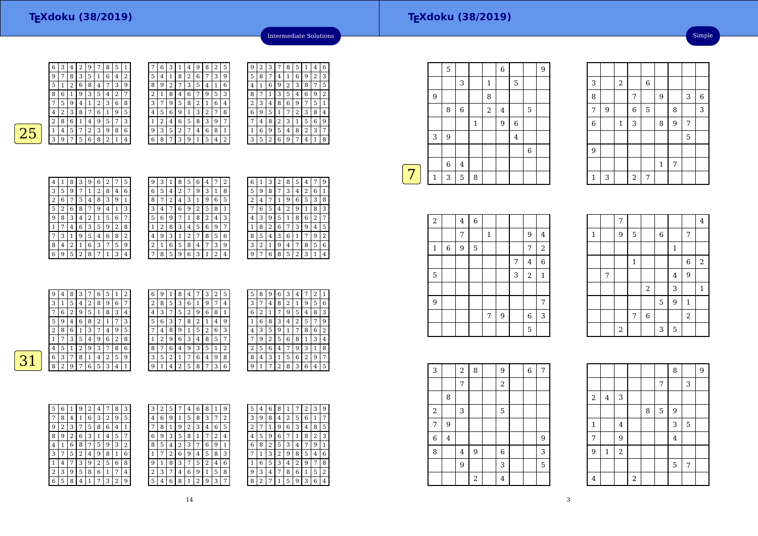|   | 6 | 3 | ı              | 4 | 9 | 8 | $\overline{2}$ | 5 |
|---|---|---|----------------|---|---|---|----------------|---|
| 5 | 4 | 1 | 8              | 2 | 6 |   | 3              | 9 |
| 8 | 9 | 2 | 7              | 3 | 5 | 4 | 1              | 6 |
| 2 | 1 | 8 | 4              | 6 |   | 9 | 5              | 3 |
| 3 | 7 | 9 | 5              | 8 | 2 | 1 | 6              | 4 |
| 4 | 5 | 6 | 9              | 1 | 3 | 2 | 7              | 8 |
| 1 | 2 | 4 | 6              | 5 | 8 | 3 | 9              | 7 |
| 9 | 3 | 5 | $\overline{2}$ | 7 | 4 | 6 | 8              | 1 |
| 6 | 8 | 7 | 3              | 9 | 1 | 5 | 4              | 2 |



| 4              | 1 | 8              | 3              | 9 | 6 | $\overline{2}$ | 7 | 5              |  |
|----------------|---|----------------|----------------|---|---|----------------|---|----------------|--|
| 3              | 5 | 9              |                | 1 | 2 | 8              | 4 | 6              |  |
| $\overline{c}$ | 6 | 7              | 5              | 4 | 8 | 3              | 9 | 1              |  |
| 5              | 2 | 6              | 8              | 7 | 9 | 4              | 1 | 3              |  |
| 9              | 8 | 3              | 4              | 2 | 1 | 5              | 6 | 7              |  |
| 1              |   | 4              | 6              | 3 | 5 | 9              | 2 | 8              |  |
| 7              | 3 | 1              | 9              | 5 | 4 | 6              | 8 | $\overline{2}$ |  |
| 8              | 4 | $\overline{2}$ | 1              | 6 | 3 | 7              | 5 | 9              |  |
| 6              | 9 | 5              | $\overline{2}$ | 8 | 7 | 1              | 3 | 4              |  |

| 9 | З | 1 | 8 | 5 | 6 | 4 | 7 | 2 |
|---|---|---|---|---|---|---|---|---|
| 6 | 5 | 4 | 2 | 7 | 9 | 3 | 1 | 8 |
| 8 |   | 2 | 4 | 3 | 1 | 9 | 6 | 5 |
| 3 | 4 | 7 | 6 | 9 | 2 | 5 | 8 | 1 |
| 5 | 6 | 9 | 7 | 1 | 8 | 2 | 4 | 3 |
| 1 | 2 | 8 | 3 | 4 | 5 | 6 | 9 |   |
| 4 | 9 | 3 | 1 | 2 | 7 | 8 | 5 | 6 |
| 2 | 1 | 6 | 5 | 8 | 4 | 7 | 3 | 9 |
| 7 | 8 | 5 | 9 | 6 | 3 | 1 | 2 | 4 |

| 6 | 1 | З | 2 | 8 | 5 | 4 |   | g              |
|---|---|---|---|---|---|---|---|----------------|
| 5 | 9 | 8 | 7 | 3 | 4 | 2 | 6 | 1              |
| 2 | 4 | 7 | 1 | 9 | 6 | 5 | 3 | 8              |
|   | 6 | 5 | 4 | 2 | 9 | 1 | 8 | 3              |
| 4 | 3 | 9 | 5 | 1 | 8 | 6 | 2 |                |
| 1 | 8 | 2 | 6 | 7 | 3 | 9 | 4 | 5              |
| 8 | 5 | 4 | З | 6 | 1 | 7 | 9 | $\overline{2}$ |
| 3 | 2 | 1 | 9 | 4 | 7 | 8 | 5 | 6              |
| 9 | 7 | 6 | 8 | 5 | 2 | 3 | 1 | 4              |

Intermediate Solutions

<sup>3</sup> <sup>7</sup> <sup>8</sup> <sup>5</sup> <sup>1</sup> <sup>4</sup> <sup>6</sup>

<sup>4</sup> <sup>1</sup> <sup>6</sup> <sup>9</sup> <sup>2</sup> <sup>3</sup>

 <sup>1</sup> <sup>6</sup> <sup>9</sup> <sup>2</sup> <sup>3</sup> <sup>8</sup> <sup>7</sup> <sup>5</sup> 8 <sup>7</sup> <sup>1</sup> <sup>3</sup> <sup>5</sup> <sup>4</sup> <sup>6</sup> <sup>9</sup> <sup>2</sup> 2 <sup>3</sup> <sup>4</sup> <sup>8</sup> <sup>6</sup> <sup>9</sup> <sup>7</sup> <sup>5</sup> <sup>1</sup>

 <sup>9</sup> <sup>5</sup> <sup>1</sup>7 <sup>4</sup> <sup>8</sup> <sup>2</sup> <sup>3</sup> <sup>1</sup> <sup>5</sup> <sup>6</sup> <sup>9</sup>  $172384$ 

1 <sup>6</sup> <sup>9</sup> <sup>5</sup> <sup>4</sup> <sup>8</sup> <sup>2</sup> <sup>3</sup> <sup>7</sup> 3 | 5 | 2 | 6 | 9 | 7 | 4 | 1 | 8

9 $\frac{9}{2}$ 

5<sup>8</sup> <sup>7</sup>

4

69

|   | 9 | 4              | 8 | 3            | 7 | 6 | 5       | 1 | 2            | 6              | 9              | 1 | 8 | 4 | 7 | 3              | 2              | 5              | 5              | 8 | 9 | 6 | 3              | 4 | 7 | 2              | $\mathbf{1}$ |
|---|---|----------------|---|--------------|---|---|---------|---|--------------|----------------|----------------|---|---|---|---|----------------|----------------|----------------|----------------|---|---|---|----------------|---|---|----------------|--------------|
|   | 3 | 1              | 5 | 4            | 2 | 8 | 9       | 6 | 7            | 2              | 8              | 5 | 3 | 6 | 1 | 9              | 7              | $\overline{4}$ | 3              | ⇁ | 4 | 8 | 2              |   | 9 | 5              | 6            |
|   | ⇁ | 6              | 2 | 9            | 5 |   | 8       | 3 | 4            | $\overline{4}$ | 3              | ⇁ | 5 | 2 | 9 | 6              | 8              |                | 6              | 2 | 1 | 7 | 9              | 5 | 4 | 8              | 3            |
|   | 5 | 9              | 4 | 6            | 8 | 2 |         | 7 | 3            | 5              | 6              | 3 | 7 | 8 | 2 |                | $\overline{4}$ | 9              |                | 6 | 8 | 3 | $\overline{4}$ | 2 | 5 | 7              | 9            |
|   | 2 | 8              | 6 |              | 3 | ⇁ | 4       | 9 | 5            | 7              | $\overline{4}$ | 8 | 9 |   | 5 | 2              | 6              | 3              | 4              | 3 | 5 | 9 |                | 7 | 8 | 6              | 2            |
|   |   | 7              | 3 | 5            | 4 | 9 | 6       | 2 | 8            |                | 2              | 9 | 6 | 3 | 4 | 8              | 5              | 7              | $\overline{7}$ | 9 | 2 | 5 | 6              | 8 |   | 3              | 4            |
|   | 4 | 5              |   |              | 9 | 3 | ⇁       | 8 | 6            | 8              | 7              | 6 |   | 9 | 3 | 5              |                | $\overline{2}$ | 2              | 5 | 6 |   | 7              | 9 | 3 |                | 8            |
| ว | 6 | 3              | 7 | 8            |   | 4 | C.<br>∠ | 5 | 9            | 3              | 5              | 2 |   | 7 | 6 | 4              | 9              | 8              | 8              | 4 | 3 |   | 5              | 6 | 2 | 9              | 7            |
|   | 8 | $\overline{2}$ | 9 | $\mathbf{r}$ | 6 | 5 | 3       | 4 | $\mathbf{1}$ | 9              | 1              | 4 | ∍ | 5 | 8 | $\overline{ }$ | 3              | 6              | 9              |   | 7 | 2 | 8              | 3 | 6 | $\overline{4}$ | 5            |
|   |   |                |   |              |   |   |         |   |              |                |                |   |   |   |   |                |                |                |                |   |   |   |                |   |   |                |              |

| 5 | 6 |   | 9 | 2 | 4 |   | 8 | 3 | 3 | 2 | 5 |   | 4 | 6      | 8 |
|---|---|---|---|---|---|---|---|---|---|---|---|---|---|--------|---|
| 7 | 8 | 4 |   | 6 | 3 | 2 | 9 | 5 | 4 | 6 | g |   | 5 | 8      | 3 |
| 9 | 2 | 3 |   | 5 | 8 | 6 | 4 |   |   | 8 |   | 9 | 2 | 3      | 4 |
| 8 | 9 | 2 | 6 | 3 |   | 4 | 5 | 7 | 6 | 9 | 3 | 5 | 8 |        |   |
| 4 |   | 6 | 8 | 7 | 5 | 9 | 3 | 2 | 8 | 5 | 4 | 2 | 3 |        | 6 |
| 3 |   | 5 | 2 | 4 | 9 | 8 | 1 | 6 |   |   | 2 | 6 | 9 | 4      | 5 |
| 1 | 4 |   | 3 | 9 | 2 | 5 | 6 | 8 | 9 |   | 8 | З |   | 5      |   |
| 2 | 3 | 9 | 5 | 8 | 6 |   | 7 | 4 | 2 | 3 |   | 4 | 6 | 9      |   |
| 6 | 5 | 8 | 4 |   | 7 | 3 | 2 | 9 | 5 | 4 | 6 | 8 |   | ∍<br>∠ | 9 |
|   |   |   |   |   |   |   |   |   |   |   |   |   |   |        |   |

| 3 | 2 | 5 |   | 4              | 6 | 8 | 1 | 9 | 5      | 4      | 6 | 8 | 1              |   | 2 | 3 | 9 |
|---|---|---|---|----------------|---|---|---|---|--------|--------|---|---|----------------|---|---|---|---|
| 4 | 6 | 9 | 1 | 5              | 8 | 3 | 7 | 2 | 3      | 9      | 8 | 4 | $\overline{2}$ | 5 | 6 | 1 | 7 |
| 7 | 8 | 1 | 9 | $\overline{2}$ | 3 | 4 | 6 | 5 | h<br>∠ |        | 1 | 9 | 6              | 3 | 4 | 8 | 5 |
| 6 | 9 | 3 | 5 | 8              |   |   | 2 | 4 | 4      | 5      | 9 | 6 | 7              |   | 8 | 2 | 3 |
| 8 | 5 | 4 | 2 | 3              | 7 | 6 | 9 | 1 | 6      | 8      | 2 | 5 | 3              | 4 | 7 | 9 | 1 |
| 1 | 7 | 2 | 6 | 9              | 4 | 5 | 8 | 3 | 7      |        | 3 | 2 | 9              | 8 | 5 | 4 | 6 |
| 9 |   | 8 | 3 | 7              | 5 | 2 | 4 | 6 |        | 6      | 5 | 3 | 4              | 2 | 9 | 7 | 8 |
| 2 | 3 | 7 | 4 | 6              | 9 | 1 | 5 | 8 | 9      | 3      | 4 | 7 | 8              | 6 | 1 | 5 | 2 |
| 5 | 4 | 6 | 8 | 1              | 2 | 9 | 3 | 7 | 8      | ∍<br>∠ |   |   | 5              | 9 | 3 | 6 | 4 |
|   |   |   |   |                |   |   |   |   |        |        |   |   |                |   |   |   |   |

|   |              | 5 |         |              |                | 6       |                |             | 9 |
|---|--------------|---|---------|--------------|----------------|---------|----------------|-------------|---|
|   |              |   | 3       |              | $\mathbf{1}$   |         | 5              |             |   |
|   | 9            |   |         |              | 8              |         |                |             |   |
|   |              | 8 | 6       |              | $\overline{c}$ | $\bf 4$ |                | 5           |   |
|   |              |   |         | $\mathbf{1}$ |                | 9       | 6              |             |   |
|   | 3            | 9 |         |              |                |         | $\overline{4}$ |             |   |
|   |              |   |         |              |                |         |                | $\,$ 6 $\,$ |   |
|   |              | 6 | $\bf 4$ |              |                |         |                |             |   |
| 7 | $\mathbf{1}$ | 3 | 5       | 8            |                |         |                |             |   |
|   |              |   |         |              |                |         |                |             |   |

| $\overline{a}$ |   | $\bf 4$ | $\overline{6}$ |              |   |   |            |                |
|----------------|---|---------|----------------|--------------|---|---|------------|----------------|
|                |   | 7       |                | $\mathbf{1}$ |   |   | 9          | 4              |
| $\mathbf 1$    | 6 | 9       | 5              |              |   |   | 7          | $\overline{c}$ |
|                |   |         |                |              |   | 7 | 4          | 6              |
| 5              |   |         |                |              |   | 3 | $\sqrt{2}$ | $\mathbf{1}$   |
|                |   |         |                |              |   |   |            |                |
| 9              |   |         |                |              |   |   |            | 7              |
|                |   |         |                | 7            | 9 |   | 6          | 3              |
|                |   |         |                |              |   |   | 5          |                |

| 3          |                         | $\overline{c}$ | 8              | 9              | $\overline{6}$ | $\overline{7}$ |  |
|------------|-------------------------|----------------|----------------|----------------|----------------|----------------|--|
|            |                         | $\sqrt{ }$     |                | $\sqrt{2}$     |                |                |  |
|            | 8                       |                |                |                |                |                |  |
| $\sqrt{2}$ |                         | 3              |                | 5              |                |                |  |
| 7          | 9                       |                |                |                |                |                |  |
| 6          | $\overline{\mathbf{4}}$ |                |                |                |                | 9              |  |
| 8          |                         | 4              | 9              | 6              |                | 3              |  |
|            |                         | 9              |                | 3              |                | 5              |  |
|            |                         |                | $\overline{c}$ | $\overline{4}$ |                |                |  |

| 3              |   | $\overline{a}$ |                | $\,$ 6 $\,$ |                |   |                |                |
|----------------|---|----------------|----------------|-------------|----------------|---|----------------|----------------|
| 8              |   |                | 7              |             | $\overline{9}$ |   | 3              | $\overline{6}$ |
| $\overline{7}$ | 9 |                | $\overline{6}$ | 5           |                | 8 |                | $\overline{3}$ |
| $\,$ 6 $\,$    |   | $\mathbf{1}$   | 3              |             | 8              | 9 | $\overline{7}$ |                |
|                |   |                |                |             |                |   | 5              |                |
| 9              |   |                |                |             |                |   |                |                |
|                |   |                |                |             | $\,1\,$        | 7 |                |                |
| $\mathbf{1}$   | 3 |                | $\overline{c}$ | 7           |                |   |                |                |

Simple

|              |   | 7     |              |       |             |              |                | $\overline{4}$ |
|--------------|---|-------|--------------|-------|-------------|--------------|----------------|----------------|
| $\mathbf{1}$ |   | 9     | 5            |       | $\,$ 6 $\,$ |              | 7              |                |
|              |   |       |              |       |             | $\mathbf{1}$ |                |                |
|              |   |       | $\mathbf{1}$ |       |             |              | $\,6$          | $\,2$          |
|              | 7 |       |              |       |             | 4            | 9              |                |
|              |   |       |              | $\,2$ |             | 3            |                | $\mathbf{1}$   |
|              |   |       |              |       | 5           | 9            | $\mathbf{1}$   |                |
|              |   |       | 7            | $\,6$ |             |              | $\overline{2}$ |                |
|              |   | $\,2$ |              |       | 3           | $\mathbf 5$  |                |                |

|                |         |                |                         |   |   | 8                       |   | $\overline{9}$ |
|----------------|---------|----------------|-------------------------|---|---|-------------------------|---|----------------|
|                |         |                |                         |   | 7 |                         | 3 |                |
| $\sqrt{2}$     | 4       | 3              |                         |   |   |                         |   |                |
|                |         |                |                         | 8 | 5 | 9                       |   |                |
| $\mathbf 1$    |         | $\overline{4}$ |                         |   |   | 3                       | 5 |                |
| 7              |         | 9              |                         |   |   | $\overline{\mathbf{4}}$ |   |                |
| $\overline{9}$ | $\,1\,$ | $\overline{a}$ |                         |   |   |                         |   |                |
|                |         |                |                         |   |   | 5                       | 7 |                |
| $\bf 4$        |         |                | $\overline{\mathbf{c}}$ |   |   |                         |   |                |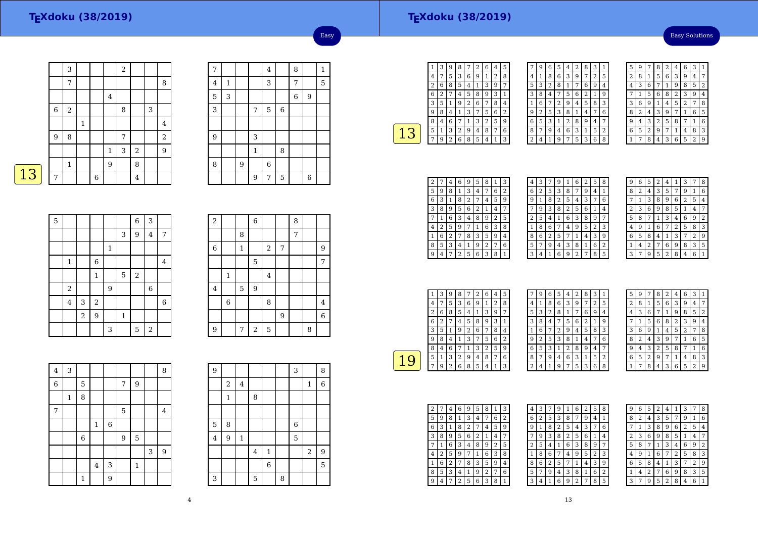Easy Solutions

|             | 3              |             |             |              | $\,2$ |            |   |                |
|-------------|----------------|-------------|-------------|--------------|-------|------------|---|----------------|
|             | 7              |             |             |              |       |            |   | 8              |
|             |                |             |             | $\bf 4$      |       |            |   |                |
| $\,$ 6 $\,$ | $\overline{2}$ |             |             |              | 8     |            | 3 |                |
|             |                | $\mathbf 1$ |             |              |       |            |   | $\overline{4}$ |
| 9           | 8              |             |             |              | 7     |            |   | $\sqrt{2}$     |
|             |                |             |             | $\mathbf{1}$ | 3     | $\sqrt{2}$ |   | 9              |
|             | $\mathbf 1$    |             |             | 9            |       | 8          |   |                |
| 7           |                |             | $\,$ 6 $\,$ |              |       | 4          |   |                |
|             |                |             |             |              |       |            |   |                |

| 7              |              |   |              | 4 |                | 8              |   | $\mathbf{1}$ |
|----------------|--------------|---|--------------|---|----------------|----------------|---|--------------|
| $\overline{4}$ | $\mathbf{1}$ |   |              | 3 |                | 7              |   | 5            |
| 5              | 3            |   |              |   |                | $\overline{6}$ | 9 |              |
| 3              |              |   | 7            | 5 | $\overline{6}$ |                |   |              |
|                |              |   |              |   |                |                |   |              |
| $\overline{9}$ |              |   | 3            |   |                |                |   |              |
|                |              |   | $\mathbf{1}$ |   | 8              |                |   |              |
| 8              |              | 9 |              | 6 |                |                |   |              |
|                |              |   | 9            | 7 | 5              |                | 6 |              |
|                |              |   |              |   |                |                |   |              |

Easy



| 5 |                |       |              |              |             | $\overline{6}$ | 3              |   |
|---|----------------|-------|--------------|--------------|-------------|----------------|----------------|---|
|   |                |       |              |              | 3           | 9              | $\overline{4}$ | 7 |
|   |                |       |              | $\mathbf{1}$ |             |                |                |   |
|   | $\mathbf{1}$   |       | $\,6$        |              |             |                |                | 4 |
|   |                |       | $\mathbf{1}$ |              | 5           | $\sqrt{2}$     |                |   |
|   | $\,2$          |       |              | 9            |             |                | $\,$ 6 $\,$    |   |
|   | $\overline{4}$ | 3     | $\,2$        |              |             |                |                | 6 |
|   |                | $\,2$ | 9            |              | $\mathbf 1$ |                |                |   |
|   |                |       |              | 3            |             | 5              | $\overline{2}$ |   |

| $\overline{2}$ |                |             | $\,$ 6 $\,$    |                |   | 8 |   |                |
|----------------|----------------|-------------|----------------|----------------|---|---|---|----------------|
|                |                | 8           |                |                |   | 7 |   |                |
| $\,6\,$        |                | $\mathbf 1$ |                | $\,2$          | 7 |   |   | 9              |
|                |                |             | 5              |                |   |   |   | 7              |
|                | $\mathbf{1}$   |             |                | $\overline{4}$ |   |   |   |                |
| $\bf 4$        |                | 5           | 9              |                |   |   |   |                |
|                | $\overline{6}$ |             |                | 8              |   |   |   | $\overline{4}$ |
|                |                |             |                |                | 9 |   |   | 6              |
| 9              |                | 7           | $\overline{2}$ | 5              |   |   | 8 |                |

| $\overline{4}$ | 3            |              |         |             |   |             |   | 8 |
|----------------|--------------|--------------|---------|-------------|---|-------------|---|---|
| 6              |              | 5            |         |             | 7 | 9           |   |   |
|                | $\mathbf{1}$ | 8            |         |             |   |             |   |   |
| 7              |              |              |         |             | 5 |             |   | 4 |
|                |              |              | $\,1\,$ | $\,$ 6 $\,$ |   |             |   |   |
|                |              | $\,$ 6 $\,$  |         |             | 9 | $\mathbf 5$ |   |   |
|                |              |              |         |             |   |             | 3 | 9 |
|                |              |              | $\bf 4$ | 3           |   | $\mathbf 1$ |   |   |
|                |              | $\mathbf{1}$ |         | 9           |   |             |   |   |

| 9 |                |                |                |              |   | 3              |                  | 8              |
|---|----------------|----------------|----------------|--------------|---|----------------|------------------|----------------|
|   | $\overline{2}$ | $\overline{4}$ |                |              |   |                | $\mathbf{1}$     | $\overline{6}$ |
|   | $\mathbf{1}$   |                | 8              |              |   |                |                  |                |
|   |                |                |                |              |   |                |                  |                |
| 5 | 8              |                |                |              |   | $\overline{6}$ |                  |                |
| 4 | 9              | $\,1\,$        |                |              |   | 5              |                  |                |
|   |                |                | $\overline{4}$ | $\mathbf{1}$ |   |                | $\boldsymbol{2}$ | 9              |
|   |                |                |                | 6            |   |                |                  | 5              |
| 3 |                |                | 5              |              | 8 |                |                  |                |

| 1 | 3 | 9              | 8 | 7 | 2 | 6 | 4 | 5 |
|---|---|----------------|---|---|---|---|---|---|
| 4 | 7 | 5              | 3 | 6 | 9 |   | 2 | 8 |
| 2 | 6 | 8              | 5 | 4 | 1 | 3 | 9 | 7 |
| 6 | 2 | 7              | 4 | 5 | 8 | 9 | 3 | 1 |
| 3 | 5 |                | 9 | 2 | 6 |   | 8 | 4 |
| g | 8 | 4              | 1 | 3 | 7 | 5 | 6 | 2 |
| 8 | 4 | 6              |   | 1 | 3 | 2 | 5 | 9 |
| 5 | 1 | 3              | 2 | 9 | 4 | 8 | 7 | 6 |
|   | 9 | $\overline{c}$ | 6 | 8 | 5 | 4 |   | 3 |
|   |   |                |   |   |   |   |   |   |

|                | 9 | 6 | 5 | 4 | 2 | 8 | 3              | 1 |
|----------------|---|---|---|---|---|---|----------------|---|
| 4              | 1 | 8 | 6 | 3 | 9 | 7 | $\overline{2}$ | 5 |
| 5              | 3 | 2 | 8 | 1 | 7 | 6 | 9              | 4 |
| 3              | 8 | 4 | 7 | 5 | 6 | 2 | 1              | 9 |
| 1              | 6 | 7 | 2 | 9 | 4 | 5 | 8              | 3 |
| 9              | 2 | 5 | 3 | 8 | 1 | 4 | 7              | 6 |
| 6              | 5 | 3 | 1 | 2 | 8 | 9 | 4              | 7 |
| 8              | 7 | 9 | 4 | 6 | 3 | 1 | 5              | 2 |
| $\overline{c}$ | 4 | 1 | 9 | 7 | 5 | 3 | 6              | 8 |

| 5 | 9 |   | 8 | 2 | 4 | 6 | 3              | 1 |
|---|---|---|---|---|---|---|----------------|---|
| 2 | 8 | 1 | 5 | 6 | 3 | 9 | 4              | 7 |
| 4 | 3 | 6 |   | 1 | 9 | 8 | 5              | 2 |
|   | 1 | 5 | 6 | 8 | 2 | 3 | 9              | 4 |
| 3 | 6 | 9 | 1 | 4 | 5 | 2 | 7              | 8 |
| 8 | 2 | 4 | 3 | 9 | 7 | 1 | 6              | 5 |
| 9 | 4 | 3 | 2 | 5 | 8 | 7 | 1              | 6 |
| 6 | 5 | 2 | 9 | 7 | 1 | 4 | 8              | 3 |
|   |   | 8 | 4 | 3 | 6 | 5 | $\overline{2}$ | 9 |

| 2 | 7 | 4 | 6 | 9 | 5 | 8 | 1 | З |
|---|---|---|---|---|---|---|---|---|
| 5 | 9 | 8 | 1 | 3 | 4 |   | 6 | 2 |
| 6 | 3 | 1 | 8 | 2 | 7 | 4 | 5 | 9 |
| 3 | 8 | 9 | 5 | 6 | 2 | 1 | 4 | 7 |
|   | 1 | 6 | 3 | 4 | 8 | 9 | 2 | 5 |
| 4 | 2 | 5 | 9 | 7 | 1 | 6 | 3 | 8 |
| 1 | 6 | 2 | 7 | 8 | 3 | 5 | 9 | 4 |
| 8 | 5 | 3 | 4 | 1 | 9 | 2 | 7 | 6 |
| 9 | 4 |   | 2 | 5 | 6 | 3 | 8 |   |

| 4 | 3 | 7 | 9 | 1              | 6 | 2 | 5 | 8            |
|---|---|---|---|----------------|---|---|---|--------------|
| 6 | 2 | 5 | 3 | 8              | 7 | 9 | 4 | $\mathbf{1}$ |
| g | 1 | 8 | 2 | 5              | 4 | 3 | 7 | 6            |
|   | 9 | 3 | 8 | $\overline{c}$ | 5 | 6 | 1 | 4            |
| 2 | 5 | 4 | 1 | 6              | 3 | 8 | 9 | 7            |
|   | 8 | 6 | 7 | 4              | 9 | 5 | 2 | 3            |
| 8 | 6 | 2 | 5 | 7              | 1 | 4 | 3 | g            |
| 5 | 7 | 9 | 4 | 3              | 8 | 1 | 6 | 2            |
| 3 | 4 | 1 | 6 | 9              | 2 | 7 | 8 | 5            |
|   |   |   |   |                |   |   |   |              |

| 9 | 6 | b | 2 | 4 |   | З |                | 8 |
|---|---|---|---|---|---|---|----------------|---|
| 8 | 2 | 4 | 3 | 5 | 7 | 9 | 1              | 6 |
|   | 1 | 3 | 8 | 9 | 6 | 2 | 5              | 4 |
| 2 | 3 | 6 | g | 8 | 5 |   | 4              | 7 |
| 5 | 8 |   | 1 | 3 | 4 | 6 | 9              | 2 |
| 4 | 9 | 1 | 6 | 7 | 2 | 5 | 8              | 3 |
| 6 | 5 | 8 | 4 | 1 | 3 | 7 | $\overline{2}$ | 9 |
| 1 | 4 | 2 | 7 | 6 | 9 | 8 | 3              | 5 |
|   |   | q | 5 | 2 | 8 | 4 | 6              |   |

| 1 | 3 | 9 | 8 |   | 2 | 6 | 4              | 5 |  |
|---|---|---|---|---|---|---|----------------|---|--|
| 4 | 7 | 5 | 3 | 6 | 9 | 1 | $\overline{2}$ | 8 |  |
| 2 | 6 | 8 | 5 | 4 | 1 | 3 | 9              | 7 |  |
| 6 | 2 |   | 4 | 5 | 8 | 9 | 3              | 1 |  |
| 3 | 5 |   | 9 | 2 | 6 | 7 | 8              | 4 |  |
| 9 | 8 | 4 | 1 | 3 | 7 | 5 | 6              | 2 |  |
| 8 | 4 | 6 |   | 1 | 3 | 2 | 5              | 9 |  |
| 5 | 1 | 3 | 2 | 9 | 4 | 8 | 7              | 6 |  |
|   |   | 2 | 6 | 8 | 5 | 4 |                | 3 |  |
|   |   |   |   |   |   |   |                |   |  |

|   | 9 | 6 | 5              | 4 | 2 | 8              | 3              | 1 |  |
|---|---|---|----------------|---|---|----------------|----------------|---|--|
| 4 | 1 | 8 | 6              | 3 | 9 | 7              | $\overline{2}$ | 5 |  |
| 5 | 3 | 2 | 8              | 1 | 7 | 6              | 9              | 4 |  |
| 3 | 8 | 4 | 7              | 5 | 6 | $\overline{2}$ | 1              | 9 |  |
| 1 | 6 | 7 | $\overline{c}$ | 9 | 4 | 5              | 8              | 3 |  |
| g | 2 | 5 | 3              | 8 | 1 | 4              | 7              | 6 |  |
| 6 | 5 | 3 | 1              | 2 | 8 | 9              | 4              |   |  |
| 8 | 7 | 9 | 4              | 6 | 3 | 1              | 5              | 2 |  |
| 2 | 4 | 1 | 9              | 7 | 5 | 3              | 6              | 8 |  |

| 5              | 9              | 7              | 8              | 2            | 4              | 6              | 3              | 1 |
|----------------|----------------|----------------|----------------|--------------|----------------|----------------|----------------|---|
| $\overline{2}$ | 8              | 1              | 5              | 6            | 3              | 9              | 4              | 7 |
| 4              | 3              | 6              | 7              | $\mathbf{1}$ | 9              | 8              | 5              | 2 |
| 7              | 1              | 5              | 6              | 8            | $\overline{c}$ | 3              | 9              | 4 |
| 3              | 6              | 9              | 1              | 4            | 5              | $\overline{2}$ |                | 8 |
| 8              | $\overline{2}$ | 4              | 3              | 9            | 7              | 1              | 6              | 5 |
| 9              | 4              | 3              | $\overline{2}$ | 5            | 8              | 7              | 1              | 6 |
| 6              | 5              | $\overline{2}$ | 9              | 7            | 1              | 4              | 8              | 3 |
|                | 7              | 8              | 4              | 3            | 6              | 5              | $\overline{2}$ | 9 |

| 2 |   | 4 | 6 | 9 | 5 | 8 | 1              | 3 |
|---|---|---|---|---|---|---|----------------|---|
| 5 | 9 | 8 | 1 | 3 | 4 | 7 | 6              | 2 |
| 6 | 3 | 1 | 8 | 2 | 7 | 4 | 5              | 9 |
| 3 | 8 | 9 | 5 | 6 | 2 | 1 | 4              | 7 |
| 7 | 1 | 6 | 3 | 4 | 8 | 9 | $\overline{2}$ | 5 |
| 4 | 2 | 5 | 9 | 7 | 1 | 6 | 3              | 8 |
| 1 | 6 | 2 | 7 | 8 | 3 | 5 | 9              | 4 |
| 8 | 5 | 3 | 4 | 1 | 9 | 2 | 7              | 6 |
| g | 4 |   | 2 | 5 | 6 | 3 | 8              | 1 |

| 4 | 3 |   | 9 | 1 | 6 | 2 | 5              | 8              |
|---|---|---|---|---|---|---|----------------|----------------|
| 6 | 2 | 5 | 3 | 8 | 7 | 9 | 4              | 1              |
| 9 | 1 | 8 | 2 | 5 | 4 | 3 | 7              | 6              |
| 7 | 9 | 3 | 8 | 2 | 5 | 6 | 1              | 4              |
| 2 | 5 | 4 | 1 | 6 | 3 | 8 | 9              | 7              |
| 1 | 8 | 6 | 7 | 4 | 9 | 5 | $\overline{2}$ | 3              |
| 8 | 6 | 2 | 5 | 7 | 1 | 4 | 3              | 9              |
| 5 | 7 | 9 | 4 | 3 | 8 | 1 | 6              | $\overline{2}$ |
| 3 | 4 | 1 | 6 | 9 | 2 | 7 | 8              | 5              |

| 9 | 6 | 5            | $\overline{2}$ | 4 | 1              | 3              | 7              | 8 |
|---|---|--------------|----------------|---|----------------|----------------|----------------|---|
| 8 | 2 | 4            | 3              | 5 | 7              | 9              | 1              | 6 |
| 7 | 1 | 3            | 8              | 9 | 6              | $\overline{2}$ | 5              | 4 |
| 2 | 3 | 6            | 9              | 8 | 5              | 1              | 4              | 7 |
| 5 | 8 | 7            | $\mathbf{1}$   | 3 | 4              | 6              | 9              | 2 |
| 4 | 9 | $\mathbf{1}$ | 6              | 7 | $\overline{2}$ | 5              | 8              | 3 |
| 6 | 5 | 8            | 4              | 1 | 3              | 7              | $\overline{2}$ | 9 |
| 1 | 4 | 2            | 7              | 6 | 9              | 8              | 3              | 5 |
| 3 | 7 | 9            | 5              | 2 | 8              | 4              | 6              | 1 |
|   |   |              |                |   |                |                |                |   |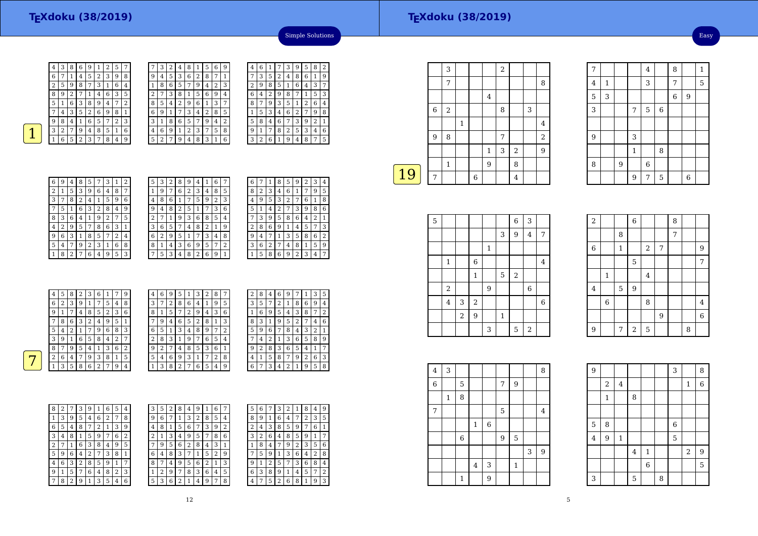

 $\sqrt{2}$  5

| 6<br>5<br>5<br>6<br>2<br>2<br>8<br>7<br>9<br>3<br>3<br>9<br>8<br>1<br>4<br>4<br>2<br>6<br>5<br>7<br>6<br>3<br>5<br>9<br>8<br>4<br>8<br>9<br>7<br>4<br>1<br>8<br>5<br>2<br>5<br>6<br>3<br>2<br>6<br>9<br>3<br>4<br>8 | 7<br>1<br>3<br>2<br>4<br>9 |
|---------------------------------------------------------------------------------------------------------------------------------------------------------------------------------------------------------------------|----------------------------|
|                                                                                                                                                                                                                     |                            |
|                                                                                                                                                                                                                     |                            |
|                                                                                                                                                                                                                     |                            |
| 5<br>6<br>8<br>5<br>6<br>3<br>8<br>9<br>9<br>2<br>2<br>1<br>1<br>7<br>4<br>4                                                                                                                                        | 3<br>7                     |
| 7<br>6<br>5<br>3<br>6<br>2<br>4<br>3<br>2<br>8<br>1<br>4<br>9<br>9                                                                                                                                                  | 5<br>8                     |
| 9<br>5<br>6<br>3<br>3<br>5<br>8<br>2<br>4<br>8<br>6<br>7<br>9<br>1                                                                                                                                                  | $\overline{2}$<br>4        |
| 3<br>2<br>$\overline{2}$<br>3<br>8<br>6<br>6<br>9<br>4<br>5<br>7<br>4<br>7<br>1<br>9<br>1                                                                                                                           | 5<br>8                     |
| 5<br>6<br>5<br>3<br>3<br>9<br>8<br>1<br>$\overline{2}$<br>7<br>8<br>9<br>4<br>4<br>n<br>¬                                                                                                                           | 6<br>1                     |

| 9              | $\overline{4}$ | 6 | 1 | 7 | 3 | 9              | 5 | 8 | 2 |
|----------------|----------------|---|---|---|---|----------------|---|---|---|
| 1              | 7              | 3 | 5 | 2 | 4 | 8              | 6 | 1 | 9 |
| 3              | 2              | 9 | 8 | 5 | 1 | 6              | 4 | 3 | 7 |
| 4              | 6              | 4 | 2 | 9 | 8 | 7              | 1 | 5 | 3 |
| 7              | 8              | 7 | 9 | 3 | 5 | 1              | 2 | 6 | 4 |
| 5              | 1              | 5 | 3 | 4 | 6 | $\overline{c}$ | 7 | 9 | 8 |
| $\overline{c}$ | 5              | 8 | 4 | 6 | 7 | 3              | 9 | 2 | 1 |
| 8              | 9              | 1 | 7 | 8 | 2 | 5              | 3 | 4 | 6 |
| 6              | 3              | 2 | 6 | 1 | 9 | 4              | 8 | 7 | 5 |
|                |                |   |   |   |   |                |   |   |   |

Simple Solutions

| 6 | 9 | 4              | 8 | 5            | 7 | З | 1 | 2 |
|---|---|----------------|---|--------------|---|---|---|---|
| 2 | 1 | 5              | 3 | 9            | 6 | 4 | 8 | 7 |
| 3 | 7 | 8              | 2 | 4            | 1 | 5 | 9 | 6 |
| 7 | 5 | 1              | 6 | 3            | 2 | 8 | 4 | 9 |
| 8 | 3 | 6              | 4 | $\mathbf{1}$ | 9 | 2 | 7 | 5 |
| 4 | 2 | 9              | 5 | 7            | 8 | 6 | 3 | 1 |
| 9 | 6 | 3              | 1 | 8            | 5 |   | 2 | 4 |
| 5 | 4 |                | 9 | 2            | 3 | 1 | 6 | 8 |
|   | 8 | $\overline{2}$ | 7 | 6            | 4 | 9 | 5 | 3 |
|   |   |                |   |              |   |   |   |   |

| 5 | З | 2 | 8 | 9 | 4              | 1 | 6              |   |
|---|---|---|---|---|----------------|---|----------------|---|
| 1 | 9 | 7 | 6 | 2 | 3              | 4 | 8              | 5 |
| 4 | 8 | 6 | 1 | 7 | 5              | 9 | $\overline{2}$ | 3 |
| 9 | 4 | 8 | 2 | 5 | 1              |   | 3              | 6 |
| 2 | 7 | 1 | 9 | 3 | 6              | 8 | 5              | 4 |
| 3 | 6 | 5 | 7 | 4 | 8              | 2 | 1              | 9 |
| 6 | 2 | 9 | 5 | 1 | 7              | 3 | 4              | 8 |
| 8 | 1 | 4 | 3 | 6 | 9              | 5 | 7              | 2 |
| 7 | 5 | 3 | 4 | 8 | $\overline{2}$ | 6 | 9              | 1 |

| 6 |   | 1 | 8              | 5              | 9 | 2 | З | 4 |
|---|---|---|----------------|----------------|---|---|---|---|
| 8 | 2 | 3 | 4              | 6              | 1 | 7 | 9 | 5 |
| 4 | 9 | 5 | 3              | $\overline{c}$ | 7 | 6 | 1 | 8 |
| 5 | 1 | 4 | $\overline{c}$ | 7              | 3 | 9 | 8 | 6 |
|   | 3 | 9 | 5              | 8              | 6 | 4 | 2 | 1 |
| 2 | 8 | 6 | 9              | 1              | 4 | 5 | 7 | 3 |
| 9 | 4 |   | 1              | 3              | 5 | 8 | 6 | 2 |
| 3 | 6 | 2 | 7              | 4              | 8 | 1 | 5 | 9 |
|   | 5 | 8 | 6              | 9              | 2 | 3 | 4 |   |

| 4 | 5 | 8 | 2 | 3              | 6 |        | 7 | 9 | 4 | 6      | 9              | 5 |        | 3              | 2 | 8 | 7 |
|---|---|---|---|----------------|---|--------|---|---|---|--------|----------------|---|--------|----------------|---|---|---|
| 6 | 2 | 3 | 9 |                | ⇁ | 5      | 4 | 8 | 3 | ⇁      | $\overline{2}$ | 8 | 6      | 4              |   | 9 | 5 |
| 9 |   | 7 | 4 | 8              | 5 | า<br>∠ | 3 | 6 | 8 |        | 5              | 7 | ∍<br>∠ | 9              | 4 | 3 | 6 |
| 7 | 8 | 6 | 3 | $\overline{2}$ | 4 | 9      | 5 |   |   | 9      | 4              | 6 | 5      | $\overline{2}$ | 8 | 1 | 3 |
| 5 | 4 | 2 |   | 7              | 9 | 6      | 8 | 3 | 6 | 5      | 1              | 3 | 4      | 8              | 9 | 7 | 2 |
| 3 | 9 | 1 | 6 | 5              | 8 | 4      | 2 | 7 | 2 | 8      | 3              |   | 9      | 7              | 6 | 5 | 4 |
| 8 | 7 | 9 | 5 | 4              |   | 3      | 6 | 2 | 9 | ∍<br>∠ | 7              | 4 | 8      | 5              | 3 | 6 | 1 |
| 2 | 6 | 4 | 7 | 9              | 3 | 8      | 1 | 5 | 5 | 4      | 6              | 9 | 3      | 1              | 7 | 2 | 8 |
|   | 3 | 5 | 8 | 6              | ∍ | 7      | 9 | 4 | 1 | 3      | 8              | h | 7      | 6              | 5 | 4 | 9 |
|   |   |   |   |                |   |        |   |   |   |        |                |   |        |                |   |   |   |

| 2 | 8 | 4 | 6 | 9 |   | 1 | З | 5 |
|---|---|---|---|---|---|---|---|---|
| 3 | 5 |   | 2 | 1 | 8 | 6 | 9 | 4 |
| 1 | 6 | 9 | 5 | 4 | 3 | 8 | 7 | 2 |
| 8 | 3 | 1 | 9 | 5 | 2 |   | 4 | 6 |
| 5 | 9 | 6 |   | 8 | 4 | 3 | 2 | 1 |
|   | 4 | 2 | 1 | 3 | 6 | 5 | 8 | 9 |
| 9 | 2 | 8 | 3 | 6 | 5 | 4 | 1 | 7 |
| 4 | 1 | 5 | 8 | 7 | 9 | 2 | 6 | 3 |
| 6 | 7 | 3 | 4 | 2 | 1 | 9 | 5 | 8 |

| 8 | 2 | 7 | 3 | 9 | 1 | 6 | 5 | 4 | 3 | 5 | $\overline{2}$ |
|---|---|---|---|---|---|---|---|---|---|---|----------------|
| 1 | 3 | 9 | 5 | 4 | 6 | 2 | 7 | 8 | 9 | 6 | 7              |
| 6 | 5 | 4 | 8 | 7 | 2 | 1 | 3 | 9 | 4 | 8 | 1              |
| 3 | 4 | 8 |   | 5 | 9 |   | 6 | 2 | 2 | 1 | 3              |
| 2 | 7 | 1 | 6 | 3 | 8 | 4 | 9 | 5 | 7 | 9 | 5              |
| 5 | 9 | 6 | 4 | 2 | 7 | 3 | 8 | 1 | 6 | 4 | 8              |
| 4 | 6 | 3 | 2 | 8 | 5 | 9 | 1 | 7 | 8 | 7 | 4              |
| 9 | 1 | 5 | 7 | 6 | 4 | 8 | 2 | 3 | 1 | 2 | 9              |
| 7 | 8 | 2 | 9 | 1 | 3 | 5 | 4 | 6 | 5 | 3 | 6              |

| 3 | 5 | 2 | 8 | 4 | 9 |   | 6 |   | 5 | 6      |   | 3 | 2 |   | 8 | 4 | 9              |
|---|---|---|---|---|---|---|---|---|---|--------|---|---|---|---|---|---|----------------|
| 9 | 6 | 7 | 1 | 3 | 2 | 8 | 5 | 4 | 8 | 9      |   | 6 | 4 | 7 | 2 | 3 | 5              |
| 4 | 8 | 1 | 5 | 6 | 7 | 3 | 9 | 2 | 2 | 4      | 3 | 8 | 5 | 9 | 7 | 6 | 1              |
| 2 | 1 | 3 | 4 | 9 | 5 | 7 | 8 | 6 | 3 | ∍<br>∠ | 6 | 4 | 8 | 5 | 9 | 1 | 7              |
| 7 | 9 | 5 | 6 | 2 | 8 | 4 | 3 | 1 | 1 | 8      | 4 | 7 | 9 | 2 | 3 | 5 | 6              |
| 6 | 4 | 8 | 3 | 7 | 1 | 5 | 2 | 9 | 7 | 5      | 9 | 1 | 3 | 6 | 4 | 2 | 8              |
| 8 | 7 | 4 | 9 | 5 | 6 | 2 | 1 | 3 | 9 |        | 2 | 5 | 7 | 3 | 6 | 8 | 4              |
| 1 | 2 | 9 | 7 | 8 | 3 | 6 | 4 | 5 | 6 | 3      | 8 | 9 | 1 | 4 | 5 | 7 | $\overline{2}$ |
| 5 | 3 | 6 | 2 | 1 | 4 | 9 | 7 | 8 | 4 | ⇁      | 5 | 2 | 6 | 8 | 1 | 9 | 3              |
|   |   |   |   |   |   |   |   |   |   |        |   |   |   |   |   |   |                |

|    |   | 3            |             |   |   | 2 |                |   |                |
|----|---|--------------|-------------|---|---|---|----------------|---|----------------|
|    |   | 7            |             |   |   |   |                |   | 8              |
|    |   |              |             |   | 4 |   |                |   |                |
|    | 6 | $\sqrt{2}$   |             |   |   | 8 |                | 3 |                |
|    |   |              | $\mathbf 1$ |   |   |   |                |   | $\overline{4}$ |
|    | 9 | 8            |             |   |   | 7 |                |   | $\overline{2}$ |
|    |   |              |             |   | 1 | 3 | $\overline{2}$ |   | 9              |
|    |   | $\mathbf{1}$ |             |   | 9 |   | 8              |   |                |
| 19 | 7 |              |             | 6 |   |   | $\overline{4}$ |   |                |
|    |   |              |             |   |   |   |                |   |                |

| 5 |                |            |            |              |              | $\boldsymbol{6}$ | 3              |         |
|---|----------------|------------|------------|--------------|--------------|------------------|----------------|---------|
|   |                |            |            |              | 3            | 9                | $\overline{4}$ | 7       |
|   |                |            |            | $\mathbf{1}$ |              |                  |                |         |
|   | $\mathbf{1}$   |            | $\,$ 6     |              |              |                  |                | 4       |
|   |                |            | $\,1\,$    |              | $\mathbf 5$  | $\sqrt{2}$       |                |         |
|   | $\,2$          |            |            | 9            |              |                  | $\,$ 6 $\,$    |         |
|   | $\overline{4}$ | $\sqrt{3}$ | $\sqrt{2}$ |              |              |                  |                | $\,6\,$ |
|   |                | $\,2$      | 9          |              | $\mathbf{1}$ |                  |                |         |
|   |                |            |            | 3            |              | 5                | $\sqrt{2}$     |         |

| $\sqrt{2}$  |                |              | $\,$ 6 $\,$    |            |                | 8 |   |                |
|-------------|----------------|--------------|----------------|------------|----------------|---|---|----------------|
|             |                | 8            |                |            |                | 7 |   |                |
| $\,$ 6 $\,$ |                | $\mathbf{1}$ |                | $\sqrt{2}$ | 7              |   |   | 9              |
|             |                |              | 5              |            |                |   |   | $\overline{7}$ |
|             | $\,1\,$        |              |                | $\bf 4$    |                |   |   |                |
| $\bf 4$     |                | 5            | 9              |            |                |   |   |                |
|             | $\overline{6}$ |              |                | 8          |                |   |   | $\bf 4$        |
|             |                |              |                |            | $\overline{9}$ |   |   | $\overline{6}$ |
| 9           |                | 7            | $\overline{2}$ | 5          |                |   | 8 |                |

<sup>7</sup> 4 8 1

4 1 3 7 5

3 6 9

 $56$ 

 $\begin{array}{c|c} & 8 \\ \hline 6 & \end{array}$ 

 $5 \mid$  6

7

4

5

3

9

8

 $\frac{3}{2}$  |  $\frac{7}{2}$ 

9 3

8 9 6 9 $\sqrt{7}$ 

1

| $\overline{4}$ | 3            |              |              |       |                |                |   | 8 |  |
|----------------|--------------|--------------|--------------|-------|----------------|----------------|---|---|--|
| $\overline{6}$ |              | $\mathbf 5$  |              |       | $\overline{7}$ | 9              |   |   |  |
|                | $\mathbf{1}$ | 8            |              |       |                |                |   |   |  |
| 7              |              |              |              |       | 5              |                |   | 4 |  |
|                |              |              | $\mathbf{1}$ | $\,6$ |                |                |   |   |  |
|                |              | $\,$ 6 $\,$  |              |       | 9              | $\overline{5}$ |   |   |  |
|                |              |              |              |       |                |                | 3 | 9 |  |
|                |              |              | $\bf 4$      | 3     |                | $\mathbf{1}$   |   |   |  |
|                |              | $\mathbf{1}$ |              | 9     |                |                |   |   |  |

| 9       |                         |                |                         |                |   | 3           |              | 8              |
|---------|-------------------------|----------------|-------------------------|----------------|---|-------------|--------------|----------------|
|         | $\overline{\mathbf{c}}$ | $\overline{4}$ |                         |                |   |             | $\mathbf{1}$ | 6              |
|         | $\mathbf{1}$            |                | 8                       |                |   |             |              |                |
|         |                         |                |                         |                |   |             |              |                |
| 5       | 8                       |                |                         |                |   | $\,$ 6 $\,$ |              |                |
| $\bf 4$ | $\overline{9}$          | $\mathbf{1}$   |                         |                |   | 5           |              |                |
|         |                         |                | $\overline{\mathbf{4}}$ | $\,1\,$        |   |             | $\sqrt{2}$   | $\overline{9}$ |
|         |                         |                |                         | $\overline{6}$ |   |             |              | 5              |
| 3       |                         |                | 5                       |                | 8 |             |              |                |

12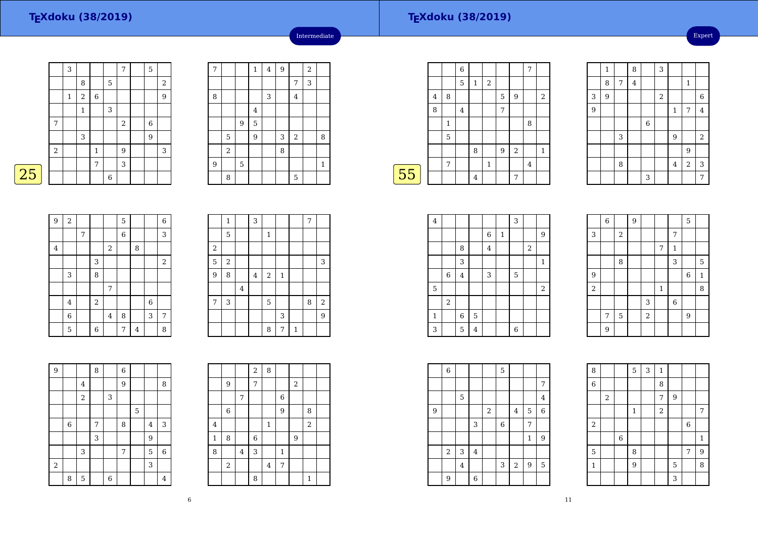Expert

|       | 3            |            |              |        | 7              | 5              |                |
|-------|--------------|------------|--------------|--------|----------------|----------------|----------------|
|       |              | 8          |              | 5      |                |                | $\overline{2}$ |
|       | $\mathbf{1}$ | $\sqrt{2}$ | 6            |        |                |                | 9              |
|       |              | 1          |              | 3      |                |                |                |
| 7     |              |            |              |        | $\overline{2}$ | $\,$ 6 $\,$    |                |
|       |              | 3          |              |        |                | $\overline{9}$ |                |
| $\,2$ |              |            | $\mathbf{1}$ |        | 9              |                | 3              |
|       |              |            | 7            |        | 3              |                |                |
|       |              |            |              | $\,$ 6 |                |                |                |
|       |              |            |              |        |                |                |                |

| $\overline{7}$ |       |   | $\mathbf 1$    | $\overline{4}$ | 9 |                | $\overline{a}$ |              |
|----------------|-------|---|----------------|----------------|---|----------------|----------------|--------------|
|                |       |   |                |                |   | 7              | 3              |              |
| 8              |       |   |                | 3              |   | $\overline{4}$ |                |              |
|                |       |   | $\overline{4}$ |                |   |                |                |              |
|                |       | 9 | 5              |                |   |                |                |              |
|                | 5     |   | 9              |                | 3 | $\,2$          |                | 8            |
|                | $\,2$ |   |                |                | 8 |                |                |              |
| $\overline{9}$ |       | 5 |                |                |   |                |                | $\mathbf{1}$ |
|                | 8     |   |                |                |   | 5              |                |              |

Intermediate

|    |                |   | 6              |                |                |   |                | 7 |                |
|----|----------------|---|----------------|----------------|----------------|---|----------------|---|----------------|
|    |                |   | 5              | $\mathbf{1}$   | $\overline{2}$ |   |                |   |                |
|    | $\overline{4}$ | 8 |                |                |                | 5 | 9              |   | $\overline{2}$ |
|    | 8              |   | $\overline{4}$ |                |                | 7 |                |   |                |
|    |                | 1 |                |                |                |   |                | 8 |                |
|    |                | 5 |                |                |                |   |                |   |                |
|    |                |   |                | 8              |                | 9 | $\overline{2}$ |   | $\mathbf{1}$   |
|    |                | 7 |                |                | $\mathbf{1}$   |   |                | 4 |                |
| 55 |                |   |                | $\overline{4}$ |                |   | 7              |   |                |
|    |                |   |                |                |                |   |                |   |                |

|                | $\mathbf 1$ |                  | 8       |             | 3          |             |                |                         |
|----------------|-------------|------------------|---------|-------------|------------|-------------|----------------|-------------------------|
|                | 8           | $\boldsymbol{7}$ | $\bf 4$ |             |            |             | $\mathbf{1}$   |                         |
| 3              | 9           |                  |         |             | $\sqrt{2}$ |             |                | $\,$ 6 $\,$             |
| $\overline{9}$ |             |                  |         |             |            | $\mathbf 1$ | 7              | $\overline{\mathbf{4}}$ |
|                |             |                  |         | $\,$ 6 $\,$ |            |             |                |                         |
|                |             | 3                |         |             |            | 9           |                | $\overline{2}$          |
|                |             |                  |         |             |            |             | 9              |                         |
|                |             | 8                |         |             |            | $\bf 4$     | $\overline{a}$ | 3                       |
|                |             |                  |         | 3           |            |             |                | 7                       |

| $\overline{9}$ | $\boldsymbol{2}$        |   |       |                | 5     |   |                  | $\boldsymbol{6}$ |
|----------------|-------------------------|---|-------|----------------|-------|---|------------------|------------------|
|                |                         | 7 |       |                | $\,6$ |   |                  | 3                |
| $\overline{4}$ |                         |   |       | $\,2$          |       | 8 |                  |                  |
|                |                         |   | 3     |                |       |   |                  | $\sqrt{2}$       |
|                | 3                       |   | 8     |                |       |   |                  |                  |
|                |                         |   |       | $\overline{7}$ |       |   |                  |                  |
|                | $\overline{\mathbf{4}}$ |   | $\,2$ |                |       |   | $\boldsymbol{6}$ |                  |
|                | 6                       |   |       | $\bf 4$        | 8     |   | 3                | 7                |
|                | 5                       |   | 6     |                | 7     | 4 |                  | 8                |

|                | $\mathbf{1}$ |         | $\mathsf 3$ |             |              |   | 7 |                  |
|----------------|--------------|---------|-------------|-------------|--------------|---|---|------------------|
|                | 5            |         |             | $\mathbf 1$ |              |   |   |                  |
| $\,2$          |              |         |             |             |              |   |   |                  |
| $\overline{5}$ | $\,2$        |         |             |             |              |   |   | 3                |
| 9              | 8            |         | $\bf 4$     | $\sqrt{2}$  | $\mathbf{1}$ |   |   |                  |
|                |              | $\bf 4$ |             |             |              |   |   |                  |
| 7              | 3            |         |             | 5           |              |   | 8 | $\boldsymbol{2}$ |
|                |              |         |             |             | 3            |   |   | 9                |
|                |              |         |             | 8           | 7            | 1 |   |                  |

| $\overline{9}$   |   |                | 8 |   | $\,$ 6 $\,$ |                |                |   |
|------------------|---|----------------|---|---|-------------|----------------|----------------|---|
|                  |   | $\bf 4$        |   |   | 9           |                |                | 8 |
|                  |   | $\overline{a}$ |   | 3 |             |                |                |   |
|                  |   |                |   |   |             | $\overline{5}$ |                |   |
|                  | 6 |                | 7 |   | 8           |                | $\overline{4}$ | 3 |
|                  |   |                | 3 |   |             |                | $\overline{9}$ |   |
|                  |   | 3              |   |   | 7           |                | 5              | 6 |
| $\boldsymbol{2}$ |   |                |   |   |             |                | 3              |   |
|                  | 8 | 5              |   | 6 |             |                |                | 4 |

|                         |                  |                | $\,2$ | 8                       |                |            |                |  |
|-------------------------|------------------|----------------|-------|-------------------------|----------------|------------|----------------|--|
|                         | 9                |                | 7     |                         |                | $\sqrt{2}$ |                |  |
|                         |                  | 7              |       |                         | $\,$ 6 $\,$    |            |                |  |
|                         | $\boldsymbol{6}$ |                |       |                         | $\overline{9}$ |            | 8              |  |
| $\overline{\mathbf{4}}$ |                  |                |       | $\mathbf{1}$            |                |            | $\overline{a}$ |  |
| $\mathbf 1$             | 8                |                | 6     |                         |                | 9          |                |  |
| 8                       |                  | $\overline{4}$ | 3     |                         | $\mathbf 1$    |            |                |  |
|                         | $\,2$            |                |       | $\overline{\mathbf{4}}$ | 7              |            |                |  |
|                         |                  |                | 8     |                         |                |            | $\mathbf{1}$   |  |

| $\bf 4$      |                |         |                |                         |             | 3                |                  |              |  |
|--------------|----------------|---------|----------------|-------------------------|-------------|------------------|------------------|--------------|--|
|              |                |         |                | $\,$ 6 $\,$             | $\mathbf 1$ |                  |                  | 9            |  |
|              |                | 8       |                | $\overline{\mathbf{4}}$ |             |                  | $\boldsymbol{2}$ |              |  |
|              |                | 3       |                |                         |             |                  |                  | $\mathbf{1}$ |  |
|              | $\,6$          | $\,4\,$ |                | 3                       |             | 5                |                  |              |  |
| 5            |                |         |                |                         |             |                  |                  | $\,2$        |  |
|              | $\overline{2}$ |         |                |                         |             |                  |                  |              |  |
| $\mathbf{1}$ |                | $\,6$   | $\mathbf 5$    |                         |             |                  |                  |              |  |
| 3            |                | 5       | $\overline{4}$ |                         |             | $\boldsymbol{6}$ |                  |              |  |

|                | $\,$ 6 $\,$ |             | $\overline{9}$ |                         |             |                | 5           |             |
|----------------|-------------|-------------|----------------|-------------------------|-------------|----------------|-------------|-------------|
| 3              |             | $\,2$       |                |                         |             | 7              |             |             |
|                |             |             |                |                         | 7           | $\mathbf 1$    |             |             |
|                |             | 8           |                |                         |             | 3              |             | 5           |
| 9              |             |             |                |                         |             |                | $\,$ 6 $\,$ | $\mathbf 1$ |
| $\overline{2}$ |             |             |                |                         | $\mathbf 1$ |                |             | 8           |
|                |             |             |                | 3                       |             | $\overline{6}$ |             |             |
|                | 7           | $\mathbf 5$ |                | $\overline{\mathbf{c}}$ |             |                | 9           |             |
|                | 9           |             |                |                         |             |                |             |             |

 $5 \mid 3 \mid 1$ 

6 8

 $\bf{8}$ 

<sup>7</sup> <sup>9</sup>

|   | $\,6$ |                |         |            | 5           |       |   |                  |
|---|-------|----------------|---------|------------|-------------|-------|---|------------------|
|   |       |                |         |            |             |       |   | 7                |
|   |       | $\mathbf 5$    |         |            |             |       |   | $\overline{4}$   |
| 9 |       |                |         | $\sqrt{2}$ |             | 4     | 5 | $\,$ 6 $\,$      |
|   |       |                | 3       |            | $\,$ 6 $\,$ |       | 7 |                  |
|   |       |                |         |            |             |       | 1 | $\boldsymbol{9}$ |
|   | $\,2$ | $\sqrt{3}$     | $\bf 4$ |            |             |       |   |                  |
|   |       | $\overline{4}$ |         |            | 3           | $\,2$ | 9 | $\mathbf 5$      |
|   | 9     |                | 6       |            |             |       |   |                  |

|                | $\mathbf{1}$   | $\sqrt{2}$ |                |             | 7                |
|----------------|----------------|------------|----------------|-------------|------------------|
|                |                |            |                | $\,$ 6 $\,$ |                  |
| $\overline{6}$ |                |            |                |             | 1                |
|                | 8              |            |                | 7           | $\boldsymbol{9}$ |
|                | $\overline{9}$ |            | $\overline{5}$ |             | 8                |
|                |                |            | $\overline{3}$ |             |                  |
|                |                |            |                |             |                  |

8

6

2

11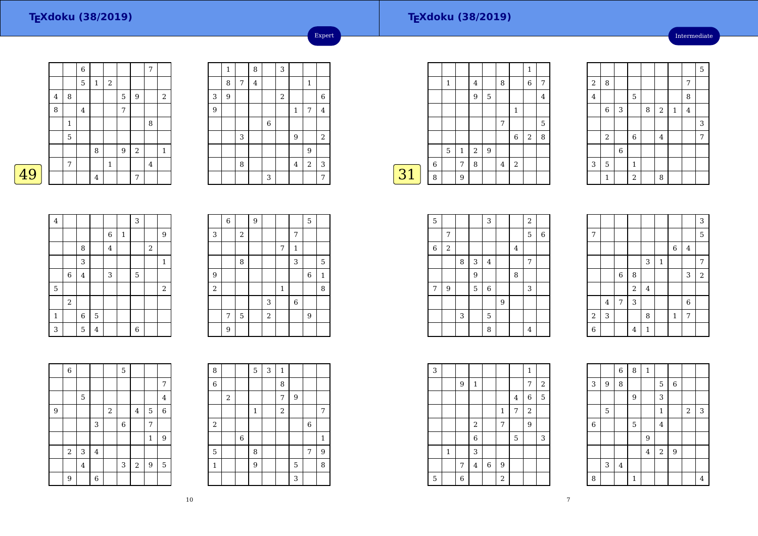49

#### **TEXdoku (38/2019)**

Intermediate

|         |   | $\,$ 6 $\,$    |                |              |                  |                  | 7 |              |
|---------|---|----------------|----------------|--------------|------------------|------------------|---|--------------|
|         |   | 5              | $\mathbf{1}$   | $\,2$        |                  |                  |   |              |
| $\bf 4$ | 8 |                |                |              | 5                | $\boldsymbol{9}$ |   | $\sqrt{2}$   |
| 8       |   | $\overline{4}$ |                |              | 7                |                  |   |              |
|         | 1 |                |                |              |                  |                  | 8 |              |
|         | 5 |                |                |              |                  |                  |   |              |
|         |   |                | 8              |              | $\boldsymbol{9}$ | $\overline{2}$   |   | $\mathbf{1}$ |
|         | 7 |                |                | $\mathbf{1}$ |                  |                  | 4 |              |
|         |   |                | $\overline{4}$ |              |                  | 7                |   |              |

|   | $\mathbf{1}$ |   | 8       |   | 3     |                         |                         |             |
|---|--------------|---|---------|---|-------|-------------------------|-------------------------|-------------|
|   | 8            | 7 | $\bf 4$ |   |       |                         | $\mathbf{1}$            |             |
| 3 | 9            |   |         |   | $\,2$ |                         |                         | $\,$ 6 $\,$ |
| 9 |              |   |         |   |       | $\mathbf 1$             | 7                       | $\bf 4$     |
|   |              |   |         | 6 |       |                         |                         |             |
|   |              | 3 |         |   |       | 9                       |                         | $\sqrt{2}$  |
|   |              |   |         |   |       |                         | 9                       |             |
|   |              | 8 |         |   |       | $\overline{\mathbf{4}}$ | $\overline{\mathbf{c}}$ | 3           |
|   |              |   |         | 3 |       |                         |                         | 7           |

Expert

|             |   |   |              |                |   |                |                  | 1              |                |
|-------------|---|---|--------------|----------------|---|----------------|------------------|----------------|----------------|
|             |   | 1 |              | 4              |   | 8              |                  | $\,$ 6 $\,$    | 7              |
|             |   |   |              | 9              | 5 |                |                  |                | $\overline{4}$ |
|             |   |   |              |                |   |                | $\mathbf{1}$     |                |                |
|             |   |   |              |                |   | 7              |                  |                | 5              |
|             |   |   |              |                |   |                | 6                | $\overline{2}$ | 8              |
|             |   | 5 | $\mathbf{1}$ | $\overline{2}$ | 9 |                |                  |                |                |
|             | 6 |   | 7            | 8              |   | $\overline{4}$ | $\boldsymbol{2}$ |                |                |
| $\sqrt{31}$ | 8 |   | 9            |                |   |                |                  |                |                |

|                |              |             |                |   |                |              |                | 5 |
|----------------|--------------|-------------|----------------|---|----------------|--------------|----------------|---|
| $\overline{c}$ | 8            |             |                |   |                |              | 7              |   |
| $\bf 4$        |              |             | 5              |   |                |              | 8              |   |
|                | $\,$ 6 $\,$  | 3           |                | 8 | $\overline{c}$ | $\mathbf{1}$ | $\overline{4}$ |   |
|                |              |             |                |   |                |              |                | 3 |
|                | $\,2$        |             | $\overline{6}$ |   | $\bf 4$        |              |                | 7 |
|                |              | $\,$ 6 $\,$ |                |   |                |              |                |   |
| 3              | 5            |             | $\mathbf{1}$   |   |                |              |                |   |
|                | $\mathbf{1}$ |             | $\overline{a}$ |   | 8              |              |                |   |

| $\overline{\mathbf{4}}$ |       |             |                |         |              | 3 |       |              |
|-------------------------|-------|-------------|----------------|---------|--------------|---|-------|--------------|
|                         |       |             |                | $\,6$   | $\mathbf{1}$ |   |       | 9            |
|                         |       | 8           |                | $\bf 4$ |              |   | $\,2$ |              |
|                         |       | 3           |                |         |              |   |       | $\mathbf{1}$ |
|                         | $\,6$ | $\bf{4}$    |                | 3       |              | 5 |       |              |
| $\mathbf 5$             |       |             |                |         |              |   |       | $\sqrt{2}$   |
|                         | $\,2$ |             |                |         |              |   |       |              |
| $\,1\,$                 |       | $\,$ 6 $\,$ | $\mathbf 5$    |         |              |   |       |              |
| 3                       |       | 5           | $\overline{4}$ |         |              | 6 |       |              |

|                | $\,$ 6 $\,$ |       | $\overline{9}$ |       |         |             | $\mathbf 5$ |              |
|----------------|-------------|-------|----------------|-------|---------|-------------|-------------|--------------|
| 3              |             | $\,2$ |                |       |         | 7           |             |              |
|                |             |       |                |       | 7       | 1           |             |              |
|                |             | 8     |                |       |         | 3           |             | 5            |
| 9              |             |       |                |       |         |             | $\,$ 6 $\,$ | $\mathbf{1}$ |
| $\overline{a}$ |             |       |                |       | $\,1\,$ |             |             | 8            |
|                |             |       |                | 3     |         | $\,$ 6 $\,$ |             |              |
|                | 7           | 5     |                | $\,2$ |         |             | 9           |              |
|                | 9           |       |                |       |         |             |             |              |

|                | $\,$ 6 $\,$ |                |         |                  | 5           |                |                |                |
|----------------|-------------|----------------|---------|------------------|-------------|----------------|----------------|----------------|
|                |             |                |         |                  |             |                |                | 7              |
|                |             | 5              |         |                  |             |                |                | $\overline{4}$ |
| $\overline{9}$ |             |                |         | $\boldsymbol{2}$ |             | $\overline{4}$ | 5              | $\overline{6}$ |
|                |             |                | 3       |                  | $\,$ 6 $\,$ |                | 7              |                |
|                |             |                |         |                  |             |                | $\mathbf{1}$   | 9              |
|                | $\sqrt{2}$  | 3              | $\bf 4$ |                  |             |                |                |                |
|                |             | $\overline{4}$ |         |                  | 3           | $\sqrt{2}$     | $\overline{9}$ | 5              |
|                | 9           |                | 6       |                  |             |                |                |                |

| 8            |   |                | 5           | 3 | $\mathbf{1}$ |   |             |                |
|--------------|---|----------------|-------------|---|--------------|---|-------------|----------------|
| 6            |   |                |             |   | 8            |   |             |                |
|              | 2 |                |             |   | 7            | 9 |             |                |
|              |   |                | $\mathbf 1$ |   | $\sqrt{2}$   |   |             | $\overline{7}$ |
| $\,2$        |   |                |             |   |              |   | $\,$ 6 $\,$ |                |
|              |   | $\overline{6}$ |             |   |              |   |             | $\mathbf 1$    |
| $\mathbf 5$  |   |                | 8           |   |              |   | 7           | 9              |
| $\mathbf{1}$ |   |                | 9           |   |              | 5 |             | 8              |
|              |   |                |             |   |              | 3 |             |                |

| 5           |       |   |   | 3           |   |   | $\,2$ |         |  |
|-------------|-------|---|---|-------------|---|---|-------|---------|--|
|             | 7     |   |   |             |   |   | 5     | $\,6\,$ |  |
| $\,$ 6 $\,$ | $\,2$ |   |   |             |   | 4 |       |         |  |
|             |       | 8 | 3 | 4           |   |   | 7     |         |  |
|             |       |   | 9 |             |   | 8 |       |         |  |
| 7           | 9     |   | 5 | $\,$ 6 $\,$ |   |   | 3     |         |  |
|             |       |   |   |             | 9 |   |       |         |  |
|             |       | 3 |   | 5           |   |   |       |         |  |
|             |       |   |   | 8           |   |   | 4     |         |  |

|                |   |             |                |             |         |             |                | 3              |
|----------------|---|-------------|----------------|-------------|---------|-------------|----------------|----------------|
| 7              |   |             |                |             |         |             |                | 5              |
|                |   |             |                |             |         | $\,$ 6 $\,$ | $\bf 4$        |                |
|                |   |             |                | 3           | $\,1\,$ |             |                | 7              |
|                |   | $\,$ 6 $\,$ | 8              |             |         |             | 3              | $\overline{2}$ |
|                |   |             | $\overline{a}$ | $\bf 4$     |         |             |                |                |
|                | 4 | 7           | 3              |             |         |             | $\overline{6}$ |                |
| $\,2$          | 3 |             |                | 8           |         | $\,1\,$     | 7              |                |
| $\overline{6}$ |   |             | 4              | $\mathbf 1$ |         |             |                |                |

| 3 |   |   |                |             |                |             | 1                |            |  |
|---|---|---|----------------|-------------|----------------|-------------|------------------|------------|--|
|   |   | 9 | $\mathbf{1}$   |             |                |             | 7                | $\sqrt{2}$ |  |
|   |   |   |                |             |                | 4           | 6                | 5          |  |
|   |   |   |                |             | $\mathbf{1}$   | 7           | $\boldsymbol{2}$ |            |  |
|   |   |   | $\sqrt{2}$     |             | 7              |             | 9                |            |  |
|   |   |   | 6              |             |                | $\mathbf 5$ |                  | 3          |  |
|   | 1 |   | 3              |             |                |             |                  |            |  |
|   |   | 7 | $\overline{4}$ | $\,$ 6 $\,$ | 9              |             |                  |            |  |
| 5 |   | 6 |                |             | $\overline{2}$ |             |                  |            |  |

|             |   | $\overline{6}$ | 8            | $\mathbf 1$    |                |                  |                |   |
|-------------|---|----------------|--------------|----------------|----------------|------------------|----------------|---|
| 3           | 9 | 8              |              |                | 5              | $\boldsymbol{6}$ |                |   |
|             |   |                | 9            |                | 3              |                  |                |   |
|             | 5 |                |              |                | $\mathbf{1}$   |                  | $\overline{2}$ | 3 |
| $\,$ 6 $\,$ |   |                | 5            |                | $\overline{4}$ |                  |                |   |
|             |   |                |              | 9              |                |                  |                |   |
|             |   |                |              | $\overline{4}$ | $\sqrt{2}$     | 9                |                |   |
|             | 3 | $\overline{4}$ |              |                |                |                  |                |   |
| 8           |   |                | $\mathbf{1}$ |                |                |                  |                | 4 |